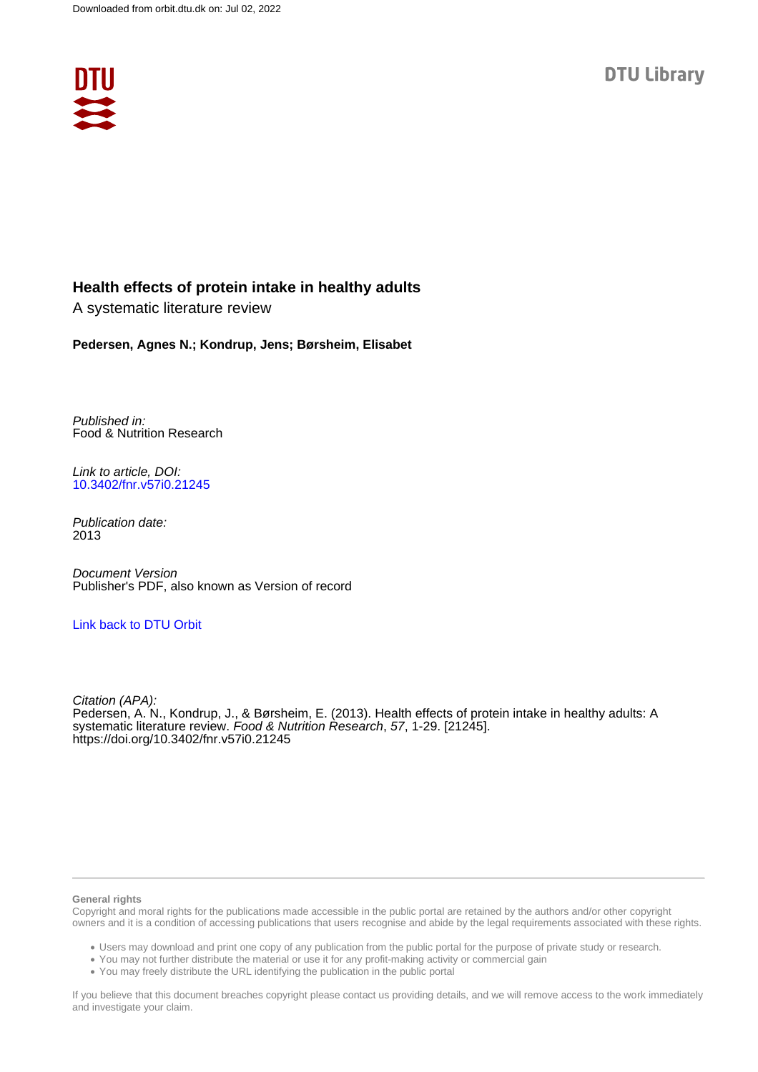

# **Health effects of protein intake in healthy adults**

A systematic literature review

**Pedersen, Agnes N.; Kondrup, Jens; Børsheim, Elisabet**

Published in: Food & Nutrition Research

Link to article, DOI: [10.3402/fnr.v57i0.21245](https://doi.org/10.3402/fnr.v57i0.21245)

Publication date: 2013

Document Version Publisher's PDF, also known as Version of record

# [Link back to DTU Orbit](https://orbit.dtu.dk/en/publications/16c0c341-a39c-4010-8ae3-91782c386167)

Citation (APA): Pedersen, A. N., Kondrup, J., & Børsheim, E. (2013). Health effects of protein intake in healthy adults: A systematic literature review. Food & Nutrition Research, 57, 1-29. [21245]. <https://doi.org/10.3402/fnr.v57i0.21245>

### **General rights**

Copyright and moral rights for the publications made accessible in the public portal are retained by the authors and/or other copyright owners and it is a condition of accessing publications that users recognise and abide by the legal requirements associated with these rights.

Users may download and print one copy of any publication from the public portal for the purpose of private study or research.

- You may not further distribute the material or use it for any profit-making activity or commercial gain
- You may freely distribute the URL identifying the publication in the public portal

If you believe that this document breaches copyright please contact us providing details, and we will remove access to the work immediately and investigate your claim.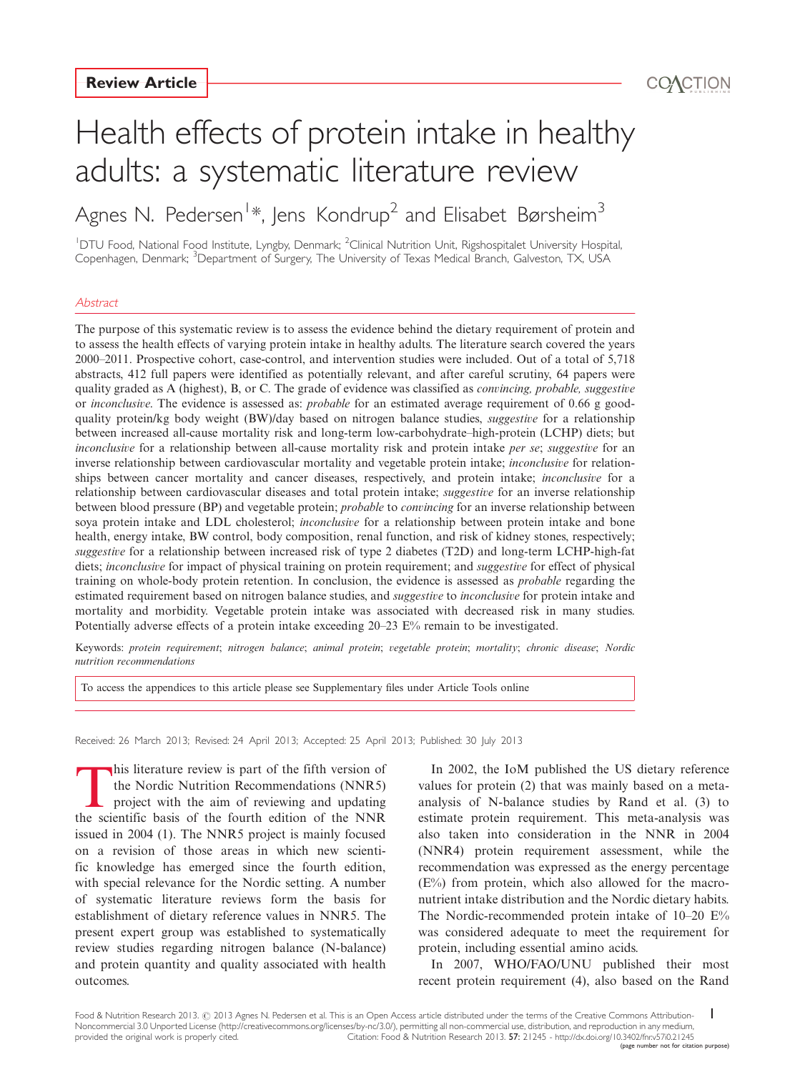# Health effects of protein intake in healthy adults: a systematic literature review Review Article<br>
Health effects of protein intake in healthy<br>
adults: a systematic literature review<br>
Agnes N. Pedersen<sup>1\*</sup>, Iens Kondrup<sup>2</sup> and Elisabet Børsheim<sup>3</sup>

Agnes N. Pedersen $^{\mathsf{I} \, *}$ , Jens Kondrup $^{\mathsf{2}}$  and Elisabet Børsheim $^{\mathsf{3}}$ 

<sup>1</sup>DTU Food, National Food Institute, Lyngby, Denmark; <sup>2</sup>Clinical Nutrition Unit, Rigshospitalet University Hospital, Copenhagen, Denmark; <sup>3</sup>Department of Surgery, The University of Texas Medical Branch, Galveston, TX, USA

### **Abstract**

The purpose of this systematic review is to assess the evidence behind the dietary requirement of protein and to assess the health effects of varying protein intake in healthy adults. The literature search covered the years 2000-2011. Prospective cohort, case-control, and intervention studies were included. Out of a total of 5,718 abstracts, 412 full papers were identified as potentially relevant, and after careful scrutiny, 64 papers were quality graded as A (highest), B, or C. The grade of evidence was classified as *convincing, probable, suggestive* or inconclusive. The evidence is assessed as: probable for an estimated average requirement of 0.66 g goodquality protein/kg body weight (BW)/day based on nitrogen balance studies, *suggestive* for a relationship between increased all-cause mortality risk and long-term low-carbohydrate-high-protein (LCHP) diets; but inconclusive for a relationship between all-cause mortality risk and protein intake per se; suggestive for an inverse relationship between cardiovascular mortality and vegetable protein intake; *inconclusive* for relationships between cancer mortality and cancer diseases, respectively, and protein intake; *inconclusive* for a relationship between cardiovascular diseases and total protein intake; *suggestive* for an inverse relationship between blood pressure (BP) and vegetable protein; probable to convincing for an inverse relationship between soya protein intake and LDL cholesterol; *inconclusive* for a relationship between protein intake and bone health, energy intake, BW control, body composition, renal function, and risk of kidney stones, respectively; suggestive for a relationship between increased risk of type 2 diabetes (T2D) and long-term LCHP-high-fat diets; *inconclusive* for impact of physical training on protein requirement; and *suggestive* for effect of physical training on whole-body protein retention. In conclusion, the evidence is assessed as probable regarding the estimated requirement based on nitrogen balance studies, and *suggestive* to *inconclusive* for protein intake and mortality and morbidity. Vegetable protein intake was associated with decreased risk in many studies. Potentially adverse effects of a protein intake exceeding 20-23 E% remain to be investigated.

Keywords: protein requirement; nitrogen balance; animal protein; vegetable protein; mortality; chronic disease; Nordic nutrition recommendations

[To access the appendices to this article please see Supplementary files under Article Tools online](http://www.foodandnutritionresearch.net/index.php/fnr/rt/suppFiles/21245/0)

Received: 26 March 2013; Revised: 24 April 2013; Accepted: 25 April 2013; Published: 30 July 2013

this literature review is part of the fifth version of the Nordic Nutrition Recommendations (NNR5) project with the aim of reviewing and updating the scientific basis of the fourth edition of the NNR issued in 2004 (1). The NNR5 project is mainly focused on a revision of those areas in which new scientific knowledge has emerged since the fourth edition, with special relevance for the Nordic setting. A number of systematic literature reviews form the basis for establishment of dietary reference values in NNR5. The present expert group was established to systematically review studies regarding nitrogen balance (N-balance) and protein quantity and quality associated with health outcomes.

In 2002, the IoM published the US dietary reference values for protein (2) that was mainly based on a metaanalysis of N-balance studies by Rand et al. (3) to estimate protein requirement. This meta-analysis was also taken into consideration in the NNR in 2004 (NNR4) protein requirement assessment, while the recommendation was expressed as the energy percentage  $(E\%)$  from protein, which also allowed for the macronutrient intake distribution and the Nordic dietary habits. The Nordic-recommended protein intake of 10–20 E% was considered adequate to meet the requirement for protein, including essential amino acids.

In 2007, WHO/FAO/UNU published their most recent protein requirement (4), also based on the Rand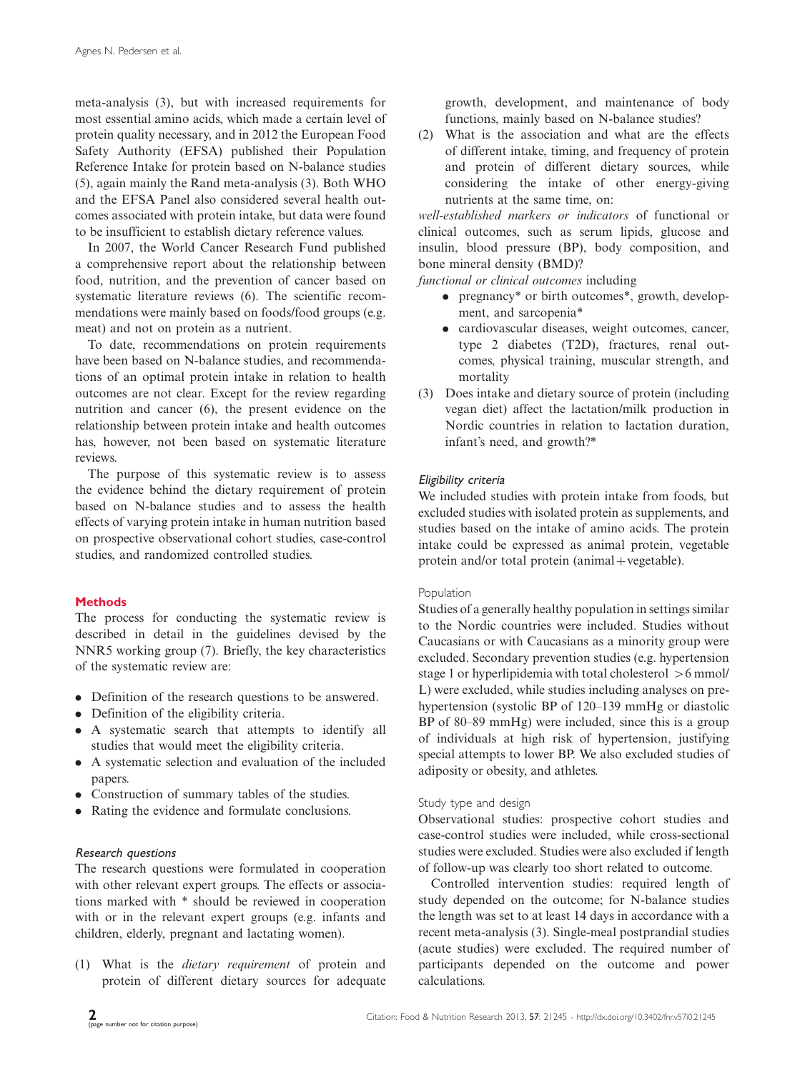meta-analysis (3), but with increased requirements for most essential amino acids, which made a certain level of protein quality necessary, and in 2012 the European Food Safety Authority (EFSA) published their Population Reference Intake for protein based on N-balance studies (5), again mainly the Rand meta-analysis (3). Both WHO and the EFSA Panel also considered several health outcomes associated with protein intake, but data were found to be insufficient to establish dietary reference values.

In 2007, the World Cancer Research Fund published a comprehensive report about the relationship between food, nutrition, and the prevention of cancer based on systematic literature reviews (6). The scientific recommendations were mainly based on foods/food groups (e.g. meat) and not on protein as a nutrient.

To date, recommendations on protein requirements have been based on N-balance studies, and recommendations of an optimal protein intake in relation to health outcomes are not clear. Except for the review regarding nutrition and cancer (6), the present evidence on the relationship between protein intake and health outcomes has, however, not been based on systematic literature reviews.

The purpose of this systematic review is to assess the evidence behind the dietary requirement of protein based on N-balance studies and to assess the health effects of varying protein intake in human nutrition based on prospective observational cohort studies, case-control studies, and randomized controlled studies.

# **Methods**

The process for conducting the systematic review is described in detail in the guidelines devised by the NNR5 working group (7). Briefly, the key characteristics of the systematic review are:

- . Definition of the research questions to be answered.
- . Definition of the eligibility criteria.
- . A systematic search that attempts to identify all studies that would meet the eligibility criteria.
- . A systematic selection and evaluation of the included papers.
- . Construction of summary tables of the studies.
- . Rating the evidence and formulate conclusions.

### Research questions

The research questions were formulated in cooperation with other relevant expert groups. The effects or associations marked with \* should be reviewed in cooperation with or in the relevant expert groups (e.g. infants and children, elderly, pregnant and lactating women).

(1) What is the dietary requirement of protein and protein of different dietary sources for adequate growth, development, and maintenance of body functions, mainly based on N-balance studies?

(2) What is the association and what are the effects of different intake, timing, and frequency of protein and protein of different dietary sources, while considering the intake of other energy-giving nutrients at the same time, on:

well-established markers or indicators of functional or clinical outcomes, such as serum lipids, glucose and insulin, blood pressure (BP), body composition, and bone mineral density (BMD)?

functional or clinical outcomes including

- . pregnancy\* or birth outcomes\*, growth, development, and sarcopenia\*
- . cardiovascular diseases, weight outcomes, cancer, type 2 diabetes (T2D), fractures, renal outcomes, physical training, muscular strength, and mortality
- (3) Does intake and dietary source of protein (including vegan diet) affect the lactation/milk production in Nordic countries in relation to lactation duration, infant's need, and growth?\*

### Eligibility criteria

We included studies with protein intake from foods, but excluded studies with isolated protein as supplements, and studies based on the intake of amino acids. The protein intake could be expressed as animal protein, vegetable protein and/or total protein  $(animal+vegetable)$ .

### Population

Studies of a generally healthy population in settings similar to the Nordic countries were included. Studies without Caucasians or with Caucasians as a minority group were excluded. Secondary prevention studies (e.g. hypertension stage 1 or hyperlipidemia with total cholesterol  $>6$  mmol/ L) were excluded, while studies including analyses on prehypertension (systolic BP of 120-139 mmHg or diastolic BP of 80-89 mmHg) were included, since this is a group of individuals at high risk of hypertension, justifying special attempts to lower BP. We also excluded studies of adiposity or obesity, and athletes.

### Study type and design

Observational studies: prospective cohort studies and case-control studies were included, while cross-sectional studies were excluded. Studies were also excluded if length of follow-up was clearly too short related to outcome.

Controlled intervention studies: required length of study depended on the outcome; for N-balance studies the length was set to at least 14 days in accordance with a recent meta-analysis (3). Single-meal postprandial studies (acute studies) were excluded. The required number of participants depended on the outcome and power calculations.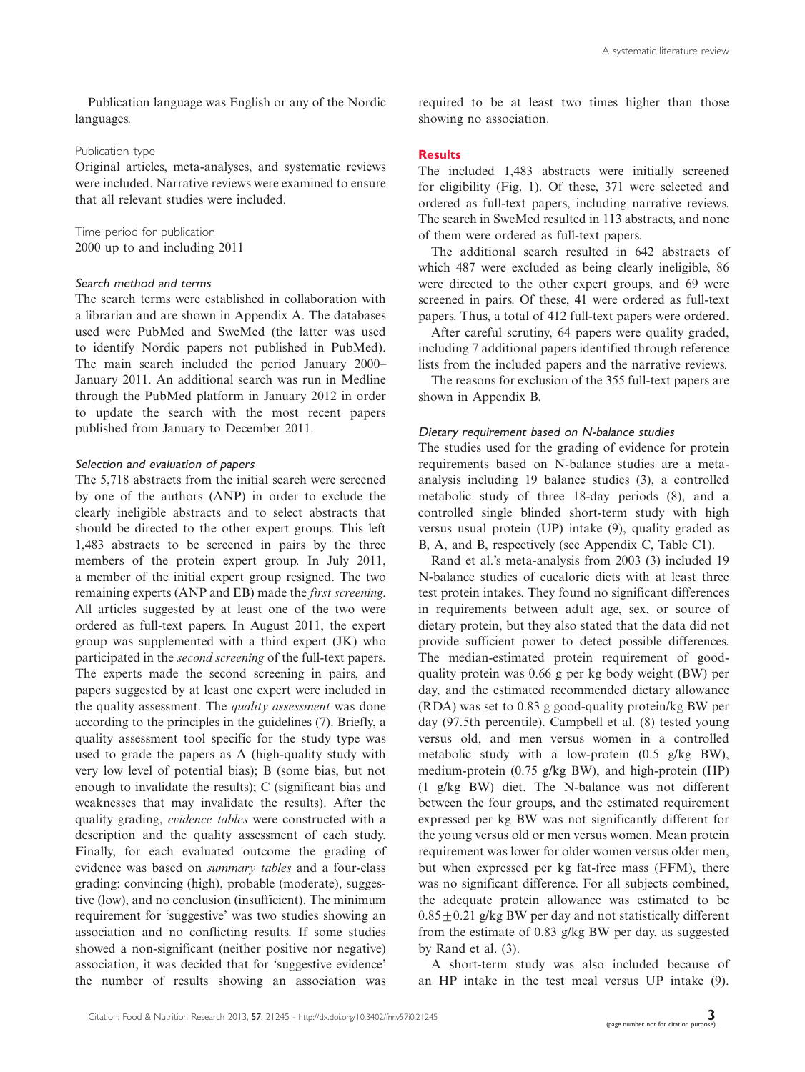Publication language was English or any of the Nordic languages.

# Publication type

Original articles, meta-analyses, and systematic reviews were included. Narrative reviews were examined to ensure that all relevant studies were included.

Time period for publication 2000 up to and including 2011

# Search method and terms

The search terms were established in collaboration with a librarian and are shown in [Appendix A](http://www.foodandnutritionresearch.net/index.php/fnr/rt/suppFiles/21245/0). The databases used were PubMed and SweMed (the latter was used to identify Nordic papers not published in PubMed). The main search included the period January 2000- January 2011. An additional search was run in Medline through the PubMed platform in January 2012 in order to update the search with the most recent papers published from January to December 2011.

### Selection and evaluation of papers

The 5,718 abstracts from the initial search were screened by one of the authors (ANP) in order to exclude the clearly ineligible abstracts and to select abstracts that should be directed to the other expert groups. This left 1,483 abstracts to be screened in pairs by the three members of the protein expert group. In July 2011, a member of the initial expert group resigned. The two remaining experts (ANP and EB) made the first screening. All articles suggested by at least one of the two were ordered as full-text papers. In August 2011, the expert group was supplemented with a third expert (JK) who participated in the second screening of the full-text papers. The experts made the second screening in pairs, and papers suggested by at least one expert were included in the quality assessment. The quality assessment was done according to the principles in the guidelines (7). Briefly, a quality assessment tool specific for the study type was used to grade the papers as A (high-quality study with very low level of potential bias); B (some bias, but not enough to invalidate the results); C (significant bias and weaknesses that may invalidate the results). After the quality grading, evidence tables were constructed with a description and the quality assessment of each study. Finally, for each evaluated outcome the grading of evidence was based on summary tables and a four-class grading: convincing (high), probable (moderate), suggestive (low), and no conclusion (insufficient). The minimum requirement for 'suggestive' was two studies showing an association and no conflicting results. If some studies showed a non-significant (neither positive nor negative) association, it was decided that for 'suggestive evidence' the number of results showing an association was

required to be at least two times higher than those showing no association.

# **Results**

The included 1,483 abstracts were initially screened for eligibility (Fig. 1). Of these, 371 were selected and ordered as full-text papers, including narrative reviews. The search in SweMed resulted in 113 abstracts, and none of them were ordered as full-text papers.

The additional search resulted in 642 abstracts of which 487 were excluded as being clearly ineligible, 86 were directed to the other expert groups, and 69 were screened in pairs. Of these, 41 were ordered as full-text papers. Thus, a total of 412 full-text papers were ordered.

After careful scrutiny, 64 papers were quality graded, including 7 additional papers identified through reference lists from the included papers and the narrative reviews.

The reasons for exclusion of the 355 full-text papers are shown in [Appendix B](http://www.foodandnutritionresearch.net/index.php/fnr/rt/suppFiles/21245/0).

### Dietary requirement based on N-balance studies

The studies used for the grading of evidence for protein requirements based on N-balance studies are a metaanalysis including 19 balance studies (3), a controlled metabolic study of three 18-day periods (8), and a controlled single blinded short-term study with high versus usual protein (UP) intake (9), quality graded as B, A, and B, respectively (see [Appendix C, Table C1\)](http://www.foodandnutritionresearch.net/index.php/fnr/rt/suppFiles/21245/0).

Rand et al.'s meta-analysis from 2003 (3) included 19 N-balance studies of eucaloric diets with at least three test protein intakes. They found no significant differences in requirements between adult age, sex, or source of dietary protein, but they also stated that the data did not provide sufficient power to detect possible differences. The median-estimated protein requirement of goodquality protein was 0.66 g per kg body weight (BW) per day, and the estimated recommended dietary allowance (RDA) was set to 0.83 g good-quality protein/kg BW per day (97.5th percentile). Campbell et al. (8) tested young versus old, and men versus women in a controlled metabolic study with a low-protein (0.5 g/kg BW), medium-protein (0.75 g/kg BW), and high-protein (HP) (1 g/kg BW) diet. The N-balance was not different between the four groups, and the estimated requirement expressed per kg BW was not significantly different for the young versus old or men versus women. Mean protein requirement was lower for older women versus older men, but when expressed per kg fat-free mass (FFM), there was no significant difference. For all subjects combined, the adequate protein allowance was estimated to be  $0.85 \pm 0.21$  g/kg BW per day and not statistically different from the estimate of 0.83 g/kg BW per day, as suggested by Rand et al. (3).

A short-term study was also included because of an HP intake in the test meal versus UP intake (9).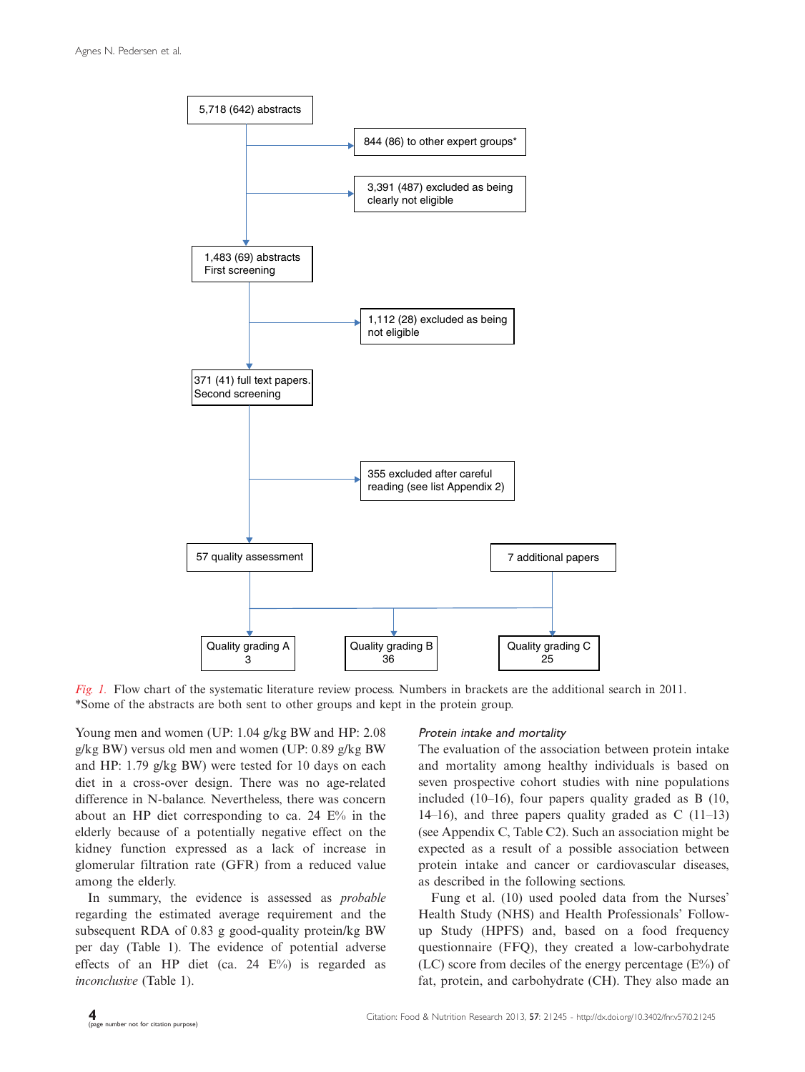

Fig. 1. Flow chart of the systematic literature review process. Numbers in brackets are the additional search in 2011. \*Some of the abstracts are both sent to other groups and kept in the protein group.

Young men and women (UP: 1.04 g/kg BW and HP: 2.08 g/kg BW) versus old men and women (UP: 0.89 g/kg BW and HP: 1.79 g/kg BW) were tested for 10 days on each diet in a cross-over design. There was no age-related difference in N-balance. Nevertheless, there was concern about an HP diet corresponding to ca. 24 E% in the elderly because of a potentially negative effect on the kidney function expressed as a lack of increase in glomerular filtration rate (GFR) from a reduced value among the elderly.

In summary, the evidence is assessed as probable regarding the estimated average requirement and the subsequent RDA of 0.83 g good-quality protein/kg BW per day (Table 1). The evidence of potential adverse effects of an HP diet (ca. 24  $E\%$ ) is regarded as inconclusive (Table 1).

# Protein intake and mortality

The evaluation of the association between protein intake and mortality among healthy individuals is based on seven prospective cohort studies with nine populations included (10-16), four papers quality graded as B (10, 14-16), and three papers quality graded as C (11-13) (see [Appendix C, Table C2\)](http://www.foodandnutritionresearch.net/index.php/fnr/rt/suppFiles/21245/0). Such an association might be expected as a result of a possible association between protein intake and cancer or cardiovascular diseases, as described in the following sections.

Fung et al. (10) used pooled data from the Nurses' Health Study (NHS) and Health Professionals' Followup Study (HPFS) and, based on a food frequency questionnaire (FFQ), they created a low-carbohydrate (LC) score from deciles of the energy percentage  $(E)$ %) of fat, protein, and carbohydrate (CH). They also made an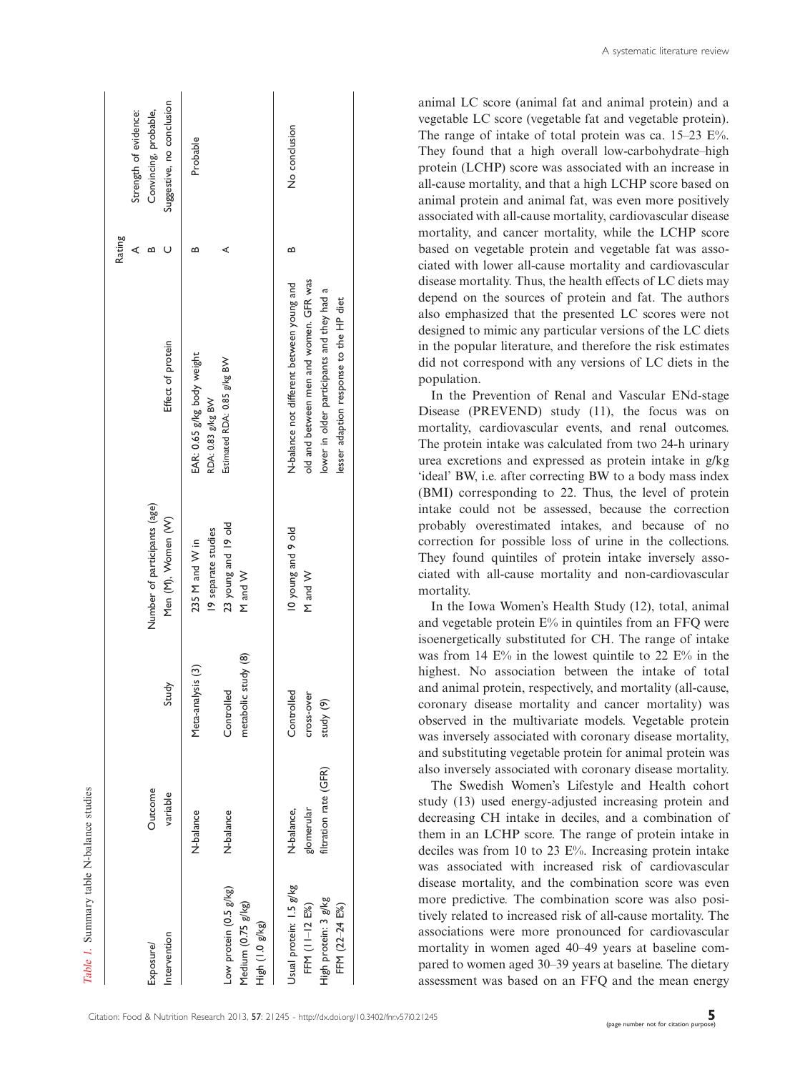animal LC score (animal fat and animal protein) and a vegetable LC score (vegetable fat and vegetable protein). The range of intake of total protein was ca.  $15-23$  E%. They found that a high overall low-carbohydrate-high protein (LCHP) score was associated with an increase in all-cause mortality, and that a high LCHP score based on animal protein and animal fat, was even more positively associated with all-cause mortality, cardiovascular disease mortality, and cancer mortality, while the LCHP score based on vegetable protein and vegetable fat was associated with lower all-cause mortality and cardiovascular disease mortality. Thus, the health effects of LC diets may depend on the sources of protein and fat. The authors also emphasized that the presented LC scores were not designed to mimic any particular versions of the LC diets in the popular literature, and therefore the risk estimates did not correspond with any versions of LC diets in the population.

In the Prevention of Renal and Vascular ENd-stage Disease (PREVEND) study (11), the focus was on mortality, cardiovascular events, and renal outcomes. The protein intake was calculated from two 24-h urinary urea excretions and expressed as protein intake in g/kg 'ideal' BW, i.e. after correcting BW to a body mass index (BMI) corresponding to 22. Thus, the level of protein intake could not be assessed, because the correction probably overestimated intakes, and because of no correction for possible loss of urine in the collections. They found quintiles of protein intake inversely associated with all-cause mortality and non-cardiovascular mortality.

In the Iowa Women's Health Study (12), total, animal and vegetable protein E% in quintiles from an FFQ were isoenergetically substituted for CH. The range of intake was from 14  $E\%$  in the lowest quintile to 22  $E\%$  in the highest. No association between the intake of total and animal protein, respectively, and mortality (all-cause, coronary disease mortality and cancer mortality) was observed in the multivariate models. Vegetable protein was inversely associated with coronary disease mortality, and substituting vegetable protein for animal protein was also inversely associated with coronary disease mortality.

The Swedish Women's Lifestyle and Health cohort study (13) used energy-adjusted increasing protein and decreasing CH intake in deciles, and a combination of them in an LCHP score. The range of protein intake in deciles was from 10 to 23 E%. Increasing protein intake was associated with increased risk of cardiovascular disease mortality, and the combination score was even more predictive. The combination score was also positively related to increased risk of all-cause mortality. The associations were more pronounced for cardiovascular mortality in women aged 40-49 years at baseline compared to women aged 30-39 years at baseline. The dietary assessment was based on an FFQ and the mean energy

 $\overline{1}$ 

 $\overline{1}$ 

 $\overline{1}$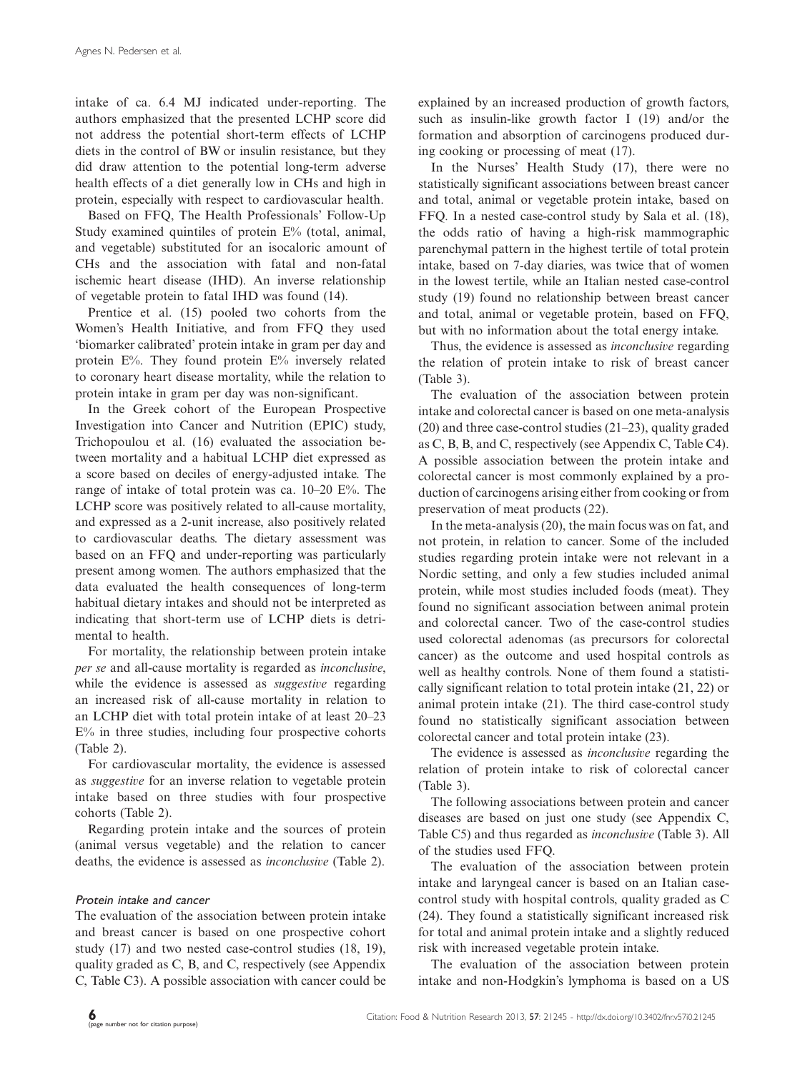intake of ca. 6.4 MJ indicated under-reporting. The authors emphasized that the presented LCHP score did not address the potential short-term effects of LCHP diets in the control of BW or insulin resistance, but they did draw attention to the potential long-term adverse health effects of a diet generally low in CHs and high in protein, especially with respect to cardiovascular health.

Based on FFQ, The Health Professionals' Follow-Up Study examined quintiles of protein E% (total, animal, and vegetable) substituted for an isocaloric amount of CHs and the association with fatal and non-fatal ischemic heart disease (IHD). An inverse relationship of vegetable protein to fatal IHD was found (14).

Prentice et al. (15) pooled two cohorts from the Women's Health Initiative, and from FFQ they used 'biomarker calibrated' protein intake in gram per day and protein E%. They found protein E% inversely related to coronary heart disease mortality, while the relation to protein intake in gram per day was non-significant.

In the Greek cohort of the European Prospective Investigation into Cancer and Nutrition (EPIC) study, Trichopoulou et al. (16) evaluated the association between mortality and a habitual LCHP diet expressed as a score based on deciles of energy-adjusted intake. The range of intake of total protein was ca. 10-20 E%. The LCHP score was positively related to all-cause mortality, and expressed as a 2-unit increase, also positively related to cardiovascular deaths. The dietary assessment was based on an FFQ and under-reporting was particularly present among women. The authors emphasized that the data evaluated the health consequences of long-term habitual dietary intakes and should not be interpreted as indicating that short-term use of LCHP diets is detrimental to health.

For mortality, the relationship between protein intake per se and all-cause mortality is regarded as inconclusive, while the evidence is assessed as *suggestive* regarding an increased risk of all-cause mortality in relation to an LCHP diet with total protein intake of at least 20-23 E% in three studies, including four prospective cohorts (Table 2).

For cardiovascular mortality, the evidence is assessed as suggestive for an inverse relation to vegetable protein intake based on three studies with four prospective cohorts (Table 2).

Regarding protein intake and the sources of protein (animal versus vegetable) and the relation to cancer deaths, the evidence is assessed as inconclusive (Table 2).

### Protein intake and cancer

The evaluation of the association between protein intake and breast cancer is based on one prospective cohort study (17) and two nested case-control studies (18, 19), quality graded as C, B, and C, respectively (see [Appendix](http://www.foodandnutritionresearch.net/index.php/fnr/rt/suppFiles/21245/0) [C, Table C3](http://www.foodandnutritionresearch.net/index.php/fnr/rt/suppFiles/21245/0)). A possible association with cancer could be explained by an increased production of growth factors, such as insulin-like growth factor I (19) and/or the formation and absorption of carcinogens produced during cooking or processing of meat (17).

In the Nurses' Health Study (17), there were no statistically significant associations between breast cancer and total, animal or vegetable protein intake, based on FFQ. In a nested case-control study by Sala et al. (18), the odds ratio of having a high-risk mammographic parenchymal pattern in the highest tertile of total protein intake, based on 7-day diaries, was twice that of women in the lowest tertile, while an Italian nested case-control study (19) found no relationship between breast cancer and total, animal or vegetable protein, based on FFQ, but with no information about the total energy intake.

Thus, the evidence is assessed as inconclusive regarding the relation of protein intake to risk of breast cancer (Table 3).

The evaluation of the association between protein intake and colorectal cancer is based on one meta-analysis (20) and three case-control studies (21-23), quality graded as C, B, B, and C, respectively (see [Appendix C, Table C4](http://www.foodandnutritionresearch.net/index.php/fnr/rt/suppFiles/21245/0)). A possible association between the protein intake and colorectal cancer is most commonly explained by a production of carcinogens arising either from cooking or from preservation of meat products (22).

In the meta-analysis (20), the main focus was on fat, and not protein, in relation to cancer. Some of the included studies regarding protein intake were not relevant in a Nordic setting, and only a few studies included animal protein, while most studies included foods (meat). They found no significant association between animal protein and colorectal cancer. Two of the case-control studies used colorectal adenomas (as precursors for colorectal cancer) as the outcome and used hospital controls as well as healthy controls. None of them found a statistically significant relation to total protein intake (21, 22) or animal protein intake (21). The third case-control study found no statistically significant association between colorectal cancer and total protein intake (23).

The evidence is assessed as *inconclusive* regarding the relation of protein intake to risk of colorectal cancer (Table 3).

The following associations between protein and cancer diseases are based on just one study (see [Appendix C,](http://www.foodandnutritionresearch.net/index.php/fnr/rt/suppFiles/21245/0) [Table C5](http://www.foodandnutritionresearch.net/index.php/fnr/rt/suppFiles/21245/0)) and thus regarded as inconclusive (Table 3). All of the studies used FFQ.

The evaluation of the association between protein intake and laryngeal cancer is based on an Italian casecontrol study with hospital controls, quality graded as C (24). They found a statistically significant increased risk for total and animal protein intake and a slightly reduced risk with increased vegetable protein intake.

The evaluation of the association between protein intake and non-Hodgkin's lymphoma is based on a US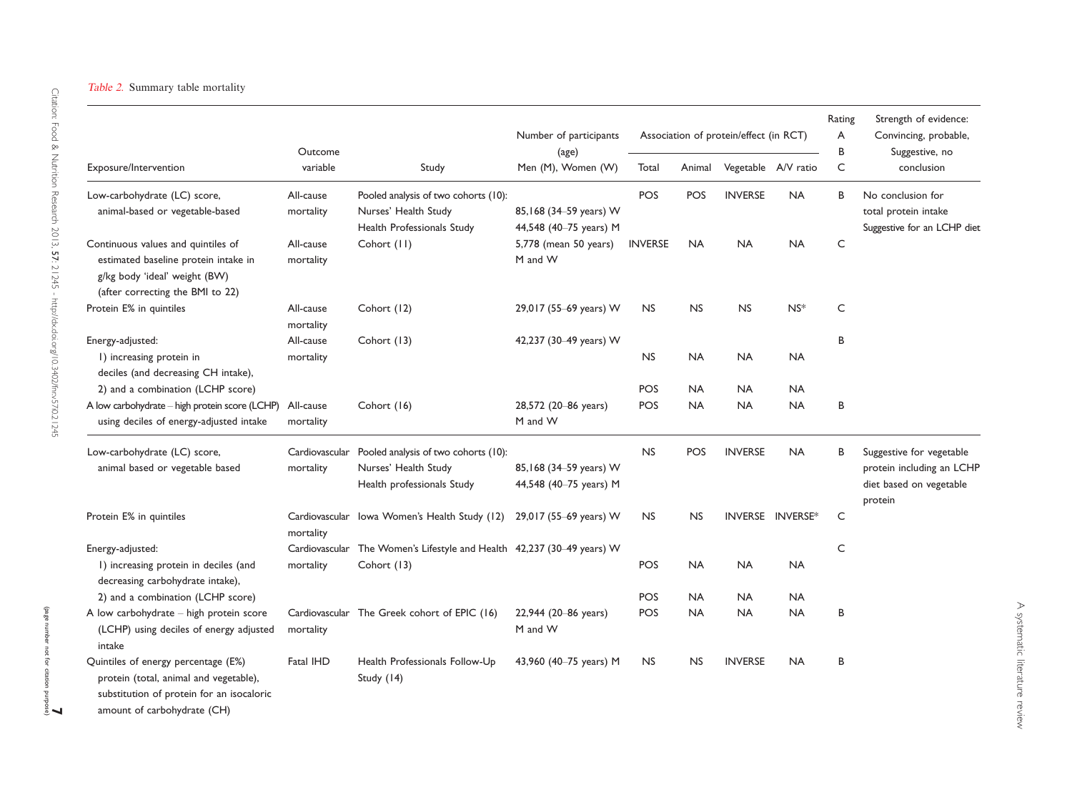### Table 2. Summary table mortality

|                                                                                                                                                           | Outcome                     |                                                                                            | Number of participants                           |                          |                        | Association of protein/effect (in RCT) |                        | Rating<br>A<br>B | Strength of evidence:<br>Convincing, probable,                                              |
|-----------------------------------------------------------------------------------------------------------------------------------------------------------|-----------------------------|--------------------------------------------------------------------------------------------|--------------------------------------------------|--------------------------|------------------------|----------------------------------------|------------------------|------------------|---------------------------------------------------------------------------------------------|
| Exposure/Intervention                                                                                                                                     | variable                    | Study                                                                                      | (age)<br>Men (M), Women (W)                      | Total                    | Animal                 | Vegetable A/V ratio                    |                        | C                | Suggestive, no<br>conclusion                                                                |
| Low-carbohydrate (LC) score,<br>animal-based or vegetable-based                                                                                           | All-cause<br>mortality      | Pooled analysis of two cohorts (10):<br>Nurses' Health Study<br>Health Professionals Study | 85,168 (34–59 years) W<br>44,548 (40-75 years) M | <b>POS</b>               | POS                    | <b>INVERSE</b>                         | <b>NA</b>              | B                | No conclusion for<br>total protein intake<br>Suggestive for an LCHP diet                    |
| Continuous values and quintiles of<br>estimated baseline protein intake in<br>g/kg body 'ideal' weight (BW)<br>(after correcting the BMI to 22)           | All-cause<br>mortality      | Cohort (II)                                                                                | 5,778 (mean 50 years)<br>M and W                 | <b>INVERSE</b>           | <b>NA</b>              | <b>NA</b>                              | <b>NA</b>              | C                |                                                                                             |
| Protein E% in quintiles                                                                                                                                   | All-cause<br>mortality      | Cohort (12)                                                                                | 29,017 (55–69 years) W                           | <b>NS</b>                | <b>NS</b>              | <b>NS</b>                              | $NS^*$                 | C                |                                                                                             |
| Energy-adjusted:<br>I) increasing protein in<br>deciles (and decreasing CH intake),                                                                       | All-cause<br>mortality      | Cohort (13)                                                                                | 42,237 (30-49 years) W                           | <b>NS</b>                | <b>NA</b>              | <b>NA</b>                              | <b>NA</b>              | B                |                                                                                             |
| 2) and a combination (LCHP score)<br>A low carbohydrate - high protein score (LCHP)<br>using deciles of energy-adjusted intake                            | All-cause<br>mortality      | Cohort (16)                                                                                | 28,572 (20-86 years)<br>M and W                  | <b>POS</b><br><b>POS</b> | <b>NA</b><br><b>NA</b> | <b>NA</b><br><b>NA</b>                 | <b>NA</b><br><b>NA</b> | B                |                                                                                             |
| Low-carbohydrate (LC) score,<br>animal based or vegetable based                                                                                           | Cardiovascular<br>mortality | Pooled analysis of two cohorts (10):<br>Nurses' Health Study<br>Health professionals Study | 85,168 (34-59 years) W<br>44,548 (40-75 years) M | <b>NS</b>                | POS                    | <b>INVERSE</b>                         | <b>NA</b>              | B                | Suggestive for vegetable<br>protein including an LCHP<br>diet based on vegetable<br>protein |
| Protein E% in quintiles                                                                                                                                   | mortality                   | Cardiovascular Iowa Women's Health Study (12)                                              | 29,017 (55-69 years) W                           | <b>NS</b>                | <b>NS</b>              |                                        | INVERSE INVERSE*       | C                |                                                                                             |
| Energy-adjusted:<br>I) increasing protein in deciles (and<br>decreasing carbohydrate intake),                                                             | Cardiovascular<br>mortality | The Women's Lifestyle and Health 42,237 (30-49 years) W<br>Cohort (13)                     |                                                  | POS                      | <b>NA</b>              | <b>NA</b>                              | <b>NA</b>              | C                |                                                                                             |
| 2) and a combination (LCHP score)                                                                                                                         |                             |                                                                                            |                                                  | <b>POS</b>               | <b>NA</b>              | <b>NA</b>                              | <b>NA</b>              |                  |                                                                                             |
| A low carbohydrate - high protein score<br>(LCHP) using deciles of energy adjusted<br>intake                                                              | Cardiovascular<br>mortality | The Greek cohort of EPIC (16)                                                              | 22,944 (20-86 years)<br>M and W                  | <b>POS</b>               | <b>NA</b>              | <b>NA</b>                              | <b>NA</b>              | B                |                                                                                             |
| Quintiles of energy percentage (E%)<br>protein (total, animal and vegetable),<br>substitution of protein for an isocaloric<br>amount of carbohydrate (CH) | Fatal IHD                   | Health Professionals Follow-Up<br>Study (14)                                               | 43,960 (40-75 years) M                           | <b>NS</b>                | <b>NS</b>              | <b>INVERSE</b>                         | NA                     | В                |                                                                                             |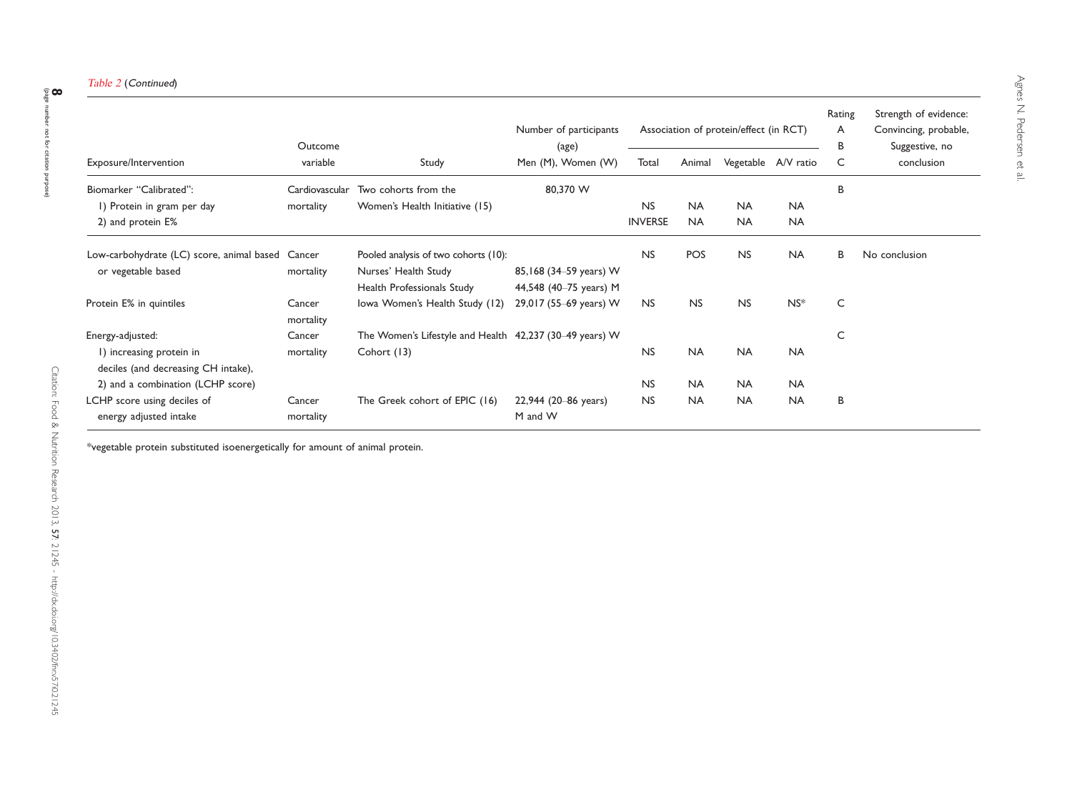|                                                       | Outcome             |                                                         | Number of participants<br>(age) |                |           | Association of protein/effect (in RCT) |           | Rating<br>A<br>В | Strength of evidence:<br>Convincing, probable,<br>Suggestive, no |
|-------------------------------------------------------|---------------------|---------------------------------------------------------|---------------------------------|----------------|-----------|----------------------------------------|-----------|------------------|------------------------------------------------------------------|
| Exposure/Intervention                                 | variable            | Study                                                   | Men (M), Women (W)              | Total          | Animal    | Vegetable A/V ratio                    |           | C                | conclusion                                                       |
| Biomarker "Calibrated":                               | Cardiovascular      | Two cohorts from the                                    | 80,370 W                        |                |           |                                        |           | B                |                                                                  |
| I) Protein in gram per day                            | mortality           | Women's Health Initiative (15)                          |                                 | <b>NS</b>      | <b>NA</b> | <b>NA</b>                              | <b>NA</b> |                  |                                                                  |
| 2) and protein E%                                     |                     |                                                         |                                 | <b>INVERSE</b> | <b>NA</b> | <b>NA</b>                              | <b>NA</b> |                  |                                                                  |
| Low-carbohydrate (LC) score, animal based             | Cancer              | Pooled analysis of two cohorts (10):                    |                                 | <b>NS</b>      | POS       | <b>NS</b>                              | <b>NA</b> | В                | No conclusion                                                    |
| or vegetable based                                    | mortality           | Nurses' Health Study                                    | 85,168 (34-59 years) W          |                |           |                                        |           |                  |                                                                  |
|                                                       |                     | Health Professionals Study                              | 44,548 (40-75 years) M          |                |           |                                        |           |                  |                                                                  |
| Protein E% in quintiles                               | Cancer<br>mortality | Iowa Women's Health Study (12)                          | 29,017 (55-69 years) W          | <b>NS</b>      | <b>NS</b> | <b>NS</b>                              | $NS^*$    | C                |                                                                  |
| Energy-adjusted:                                      | Cancer              | The Women's Lifestyle and Health 42,237 (30-49 years) W |                                 |                |           |                                        |           | C                |                                                                  |
| I) increasing protein in                              | mortality           | Cohort (13)                                             |                                 | <b>NS</b>      | <b>NA</b> | <b>NA</b>                              | <b>NA</b> |                  |                                                                  |
| deciles (and decreasing CH intake),                   |                     |                                                         |                                 |                |           |                                        |           |                  |                                                                  |
| 2) and a combination (LCHP score)                     |                     |                                                         |                                 | <b>NS</b>      | <b>NA</b> | <b>NA</b>                              | <b>NA</b> |                  |                                                                  |
| LCHP score using deciles of<br>energy adjusted intake | Cancer<br>mortality | The Greek cohort of EPIC (16)                           | 22,944 (20-86 years)<br>M and W | <b>NS</b>      | <b>NA</b> | <b>NA</b>                              | <b>NA</b> | B                |                                                                  |

\*vegetable protein substituted isoenergetically for amount of animal protein.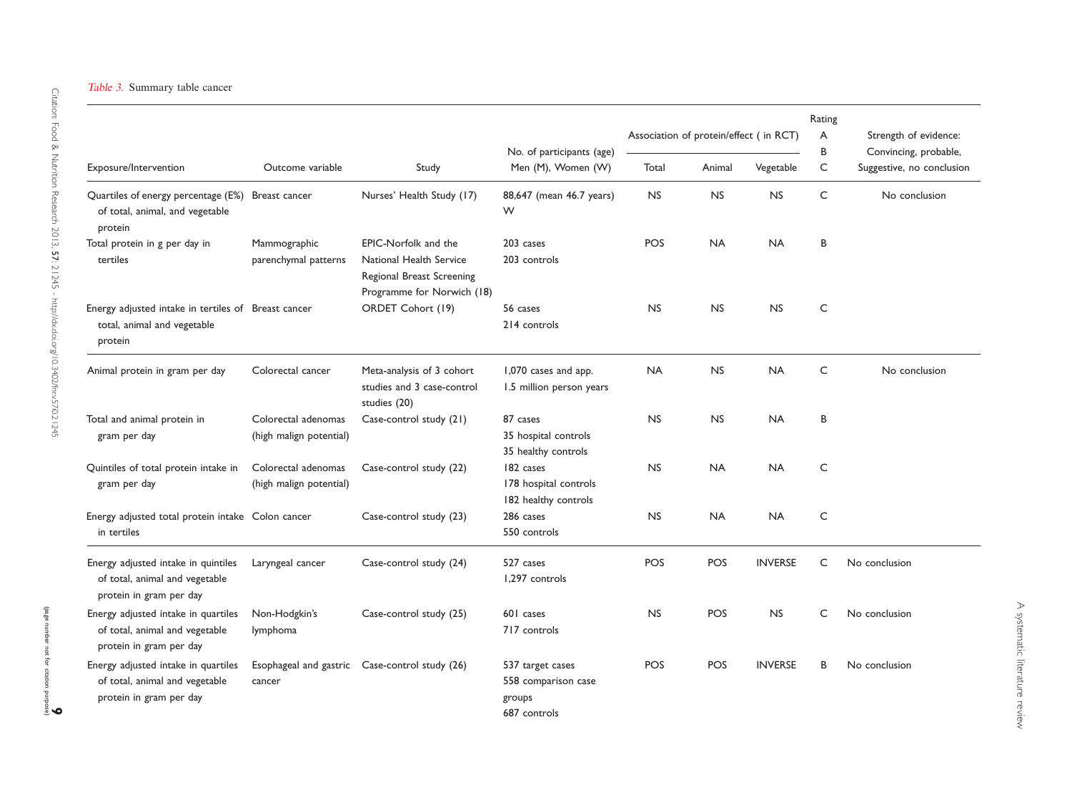|                                                                                                  |                                                |                                                                                                            | No. of participants (age)                                         | Association of protein/effect (in RCT) |            |                | Rating<br>A<br>B | Strength of evidence:<br>Convincing, probable, |
|--------------------------------------------------------------------------------------------------|------------------------------------------------|------------------------------------------------------------------------------------------------------------|-------------------------------------------------------------------|----------------------------------------|------------|----------------|------------------|------------------------------------------------|
| Exposure/Intervention                                                                            | Outcome variable                               | Study                                                                                                      | Men (M), Women (W)                                                | Total                                  | Animal     | Vegetable      | C                | Suggestive, no conclusion                      |
| Quartiles of energy percentage (E%) Breast cancer<br>of total, animal, and vegetable<br>protein  |                                                | Nurses' Health Study (17)                                                                                  | 88,647 (mean 46.7 years)<br>W                                     | <b>NS</b>                              | <b>NS</b>  | NS             | C                | No conclusion                                  |
| Total protein in g per day in<br>tertiles                                                        | Mammographic<br>parenchymal patterns           | EPIC-Norfolk and the<br>National Health Service<br>Regional Breast Screening<br>Programme for Norwich (18) | 203 cases<br>203 controls                                         | POS                                    | <b>NA</b>  | <b>NA</b>      | B                |                                                |
| Energy adjusted intake in tertiles of Breast cancer<br>total, animal and vegetable<br>protein    |                                                | ORDET Cohort (19)                                                                                          | 56 cases<br>214 controls                                          | <b>NS</b>                              | <b>NS</b>  | <b>NS</b>      | C                |                                                |
| Animal protein in gram per day                                                                   | Colorectal cancer                              | Meta-analysis of 3 cohort<br>studies and 3 case-control<br>studies (20)                                    | 1,070 cases and app.<br>1.5 million person years                  | <b>NA</b>                              | <b>NS</b>  | <b>NA</b>      | C                | No conclusion                                  |
| Total and animal protein in<br>gram per day                                                      | Colorectal adenomas<br>(high malign potential) | Case-control study (21)                                                                                    | 87 cases<br>35 hospital controls<br>35 healthy controls           | <b>NS</b>                              | <b>NS</b>  | <b>NA</b>      | В                |                                                |
| Quintiles of total protein intake in<br>gram per day                                             | Colorectal adenomas<br>(high malign potential) | Case-control study (22)                                                                                    | 182 cases<br>178 hospital controls<br>182 healthy controls        | <b>NS</b>                              | <b>NA</b>  | <b>NA</b>      | C                |                                                |
| Energy adjusted total protein intake Colon cancer<br>in tertiles                                 |                                                | Case-control study (23)                                                                                    | 286 cases<br>550 controls                                         | <b>NS</b>                              | <b>NA</b>  | <b>NA</b>      | C                |                                                |
| Energy adjusted intake in quintiles<br>of total, animal and vegetable<br>protein in gram per day | Laryngeal cancer                               | Case-control study (24)                                                                                    | 527 cases<br>1.297 controls                                       | POS                                    | POS        | <b>INVERSE</b> | C                | No conclusion                                  |
| Energy adjusted intake in quartiles<br>of total, animal and vegetable<br>protein in gram per day | Non-Hodgkin's<br>lymphoma                      | Case-control study (25)                                                                                    | 601 cases<br>717 controls                                         | <b>NS</b>                              | POS        | NS             | C                | No conclusion                                  |
| Energy adjusted intake in quartiles<br>of total, animal and vegetable<br>protein in gram per day | cancer                                         | Esophageal and gastric Case-control study (26)                                                             | 537 target cases<br>558 comparison case<br>groups<br>687 controls | POS                                    | <b>POS</b> | <b>INVERSE</b> | B                | No conclusion                                  |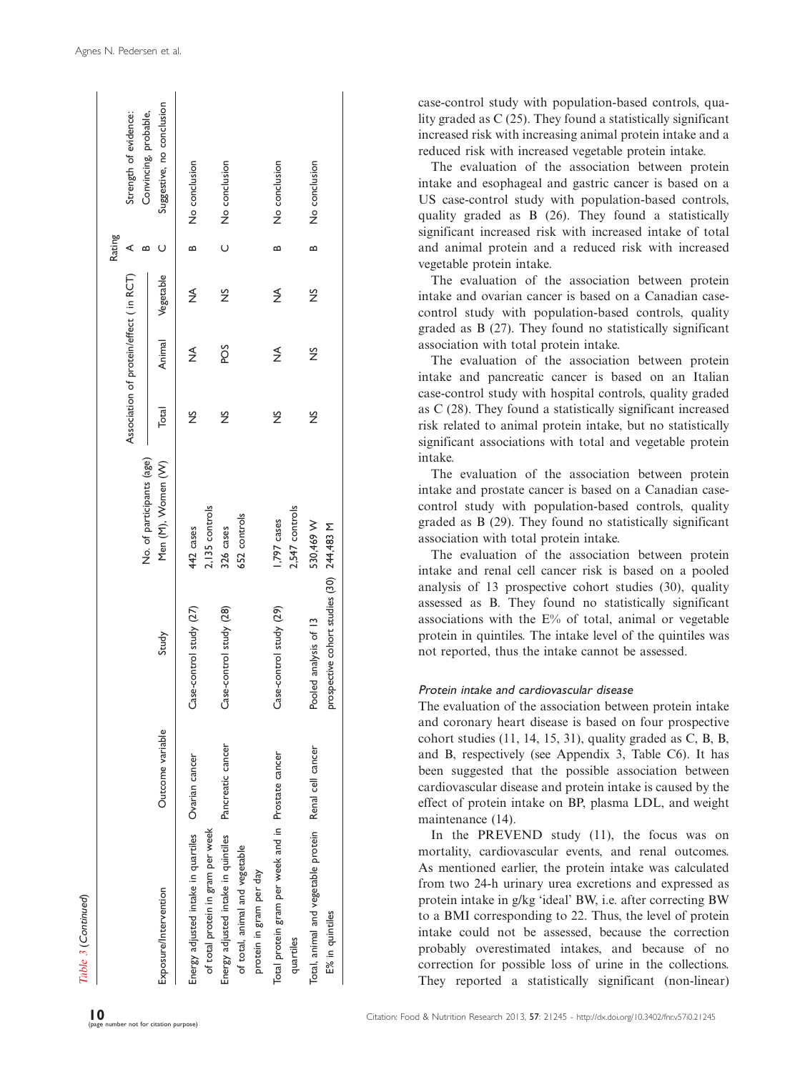| Table 3 (Continued)                                             |                  |                                           |                               |                                        |        |               |             |                           |
|-----------------------------------------------------------------|------------------|-------------------------------------------|-------------------------------|----------------------------------------|--------|---------------|-------------|---------------------------|
|                                                                 |                  |                                           |                               | Association of protein/effect (in RCT) |        |               | Rating<br>∢ | Strength of evidence:     |
|                                                                 |                  |                                           | No. of participants (age)     |                                        |        |               | ≃           | Convincing, probable,     |
| Exposure/Intervention                                           | Outcome variable | Study                                     | Men (M), Women (W)            | Total                                  | Animal | Vegetable     |             | Suggestive, no conclusion |
| Energy adjusted intake in quartiles Ovarian cancer              |                  | Case-control study (27)                   | 442 cases                     | ž                                      | ≸      | ≸             | ≃           | No conclusion             |
| of total protein in gram per week                               |                  |                                           | 2,135 controls                |                                        |        |               |             |                           |
| Energy adjusted intake in quintiles Pancreatic cancer           |                  | Case-control study (28)                   | 326 cases                     | $\frac{5}{2}$                          | POS    | $\frac{8}{2}$ |             | C No conclusion           |
| of total, animal and vegetable                                  |                  |                                           | 652 controls                  |                                        |        |               |             |                           |
| protein in gram per day                                         |                  |                                           |                               |                                        |        |               |             |                           |
| Total protein gram per week and in Prostate cancer<br>quartiles |                  | Case-control study (29)                   | 2,547 controls<br>1,797 cases | $\frac{5}{2}$                          | ≸      | ⋚             | മ           | No conclusion             |
| Total, animal and vegetable protein Renal cell cancer           |                  | Pooled analysis of 13                     | 530,469 W                     | $\frac{5}{2}$                          | ž      | $\frac{8}{2}$ | മ           | No conclusion             |
| E% in quintiles                                                 |                  | prospective cohort studies (30) 244,483 M |                               |                                        |        |               |             |                           |
|                                                                 |                  |                                           |                               |                                        |        |               |             |                           |

case-control study with population-based controls, quality graded as C (25). They found a statistically significant increased risk with increasing animal protein intake and a reduced risk with increased vegetable protein intake.

The evaluation of the association between protein intake and esophageal and gastric cancer is based on a US case-control study with population-based controls, quality graded as B (26). They found a statistically significant increased risk with increased intake of total and animal protein and a reduced risk with increased vegetable protein intake.

The evaluation of the association between protein intake and ovarian cancer is based on a Canadian casecontrol study with population-based controls, quality graded as B (27). They found no statistically significant association with total protein intake.

The evaluation of the association between protein intake and pancreatic cancer is based on an Italian case-control study with hospital controls, quality graded as C (28). They found a statistically significant increased risk related to animal protein intake, but no statistically significant associations with total and vegetable protein intake.

The evaluation of the association between protein intake and prostate cancer is based on a Canadian casecontrol study with population-based controls, quality graded as B (29). They found no statistically significant association with total protein intake.

The evaluation of the association between protein intake and renal cell cancer risk is based on a pooled analysis of 13 prospective cohort studies (30), quality assessed as B. They found no statistically significant associations with the E% of total, animal or vegetable protein in quintiles. The intake level of the quintiles was not reported, thus the intake cannot be assessed.

# Protein intake and cardiovascular disease

The evaluation of the association between protein intake and coronary heart disease is based on four prospective cohort studies (11, 14, 15, 31), quality graded as C, B, B, and B, respectively (see [Appendix 3, Table C6\)](http://www.foodandnutritionresearch.net/index.php/fnr/rt/suppFiles/21245/0). It has been suggested that the possible association between cardiovascular disease and protein intake is caused by the effect of protein intake on BP, plasma LDL, and weight maintenance (14).

In the PREVEND study (11), the focus was on mortality, cardiovascular events, and renal outcomes. As mentioned earlier, the protein intake was calculated from two 24-h urinary urea excretions and expressed as protein intake in g/kg 'ideal' BW, i.e. after correcting BW to a BMI corresponding to 22. Thus, the level of protein intake could not be assessed, because the correction probably overestimated intakes, and because of no correction for possible loss of urine in the collections. They reported a statistically significant (non-linear)

10 ,<br>number not for citation purpose)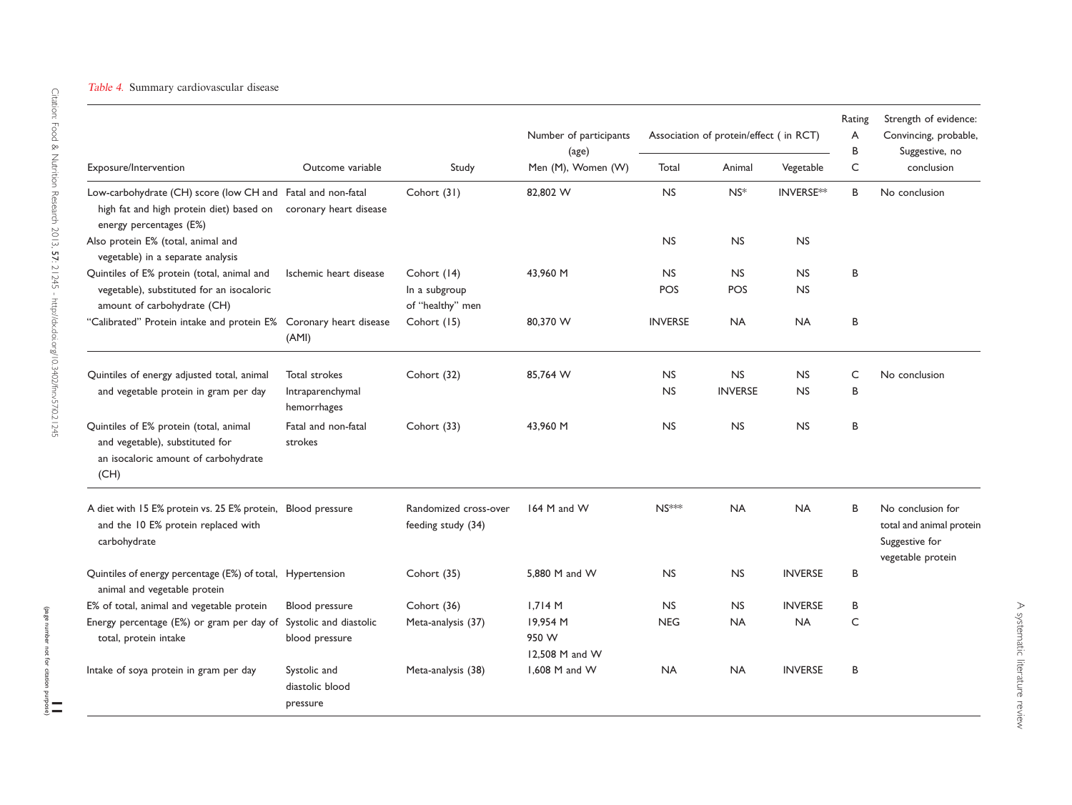### Table 4. Summary cardiovascular disease

|                                                                                                                                                           |                                             |                                             | Number of participants<br>(age)     |                | Association of protein/effect (in RCT) |                             | Rating<br>A<br>B | Strength of evidence:<br>Convincing, probable,<br>Suggestive, no                     |
|-----------------------------------------------------------------------------------------------------------------------------------------------------------|---------------------------------------------|---------------------------------------------|-------------------------------------|----------------|----------------------------------------|-----------------------------|------------------|--------------------------------------------------------------------------------------|
| Exposure/Intervention                                                                                                                                     | Outcome variable                            | Study                                       | Men (M), Women (W)                  | Total          | Animal                                 | Vegetable                   | C                | conclusion                                                                           |
| Low-carbohydrate (CH) score (low CH and Fatal and non-fatal<br>high fat and high protein diet) based on coronary heart disease<br>energy percentages (E%) |                                             | Cohort (31)                                 | 82,802 W                            | <b>NS</b>      | $NS*$                                  | <b>INVERSE</b> <sup>*</sup> | В                | No conclusion                                                                        |
| Also protein E% (total, animal and<br>vegetable) in a separate analysis                                                                                   |                                             |                                             |                                     | NS             | <b>NS</b>                              | NS                          |                  |                                                                                      |
| Quintiles of E% protein (total, animal and                                                                                                                | Ischemic heart disease                      | Cohort (14)                                 | 43.960 M                            | <b>NS</b>      | <b>NS</b>                              | <b>NS</b>                   | В                |                                                                                      |
| vegetable), substituted for an isocaloric<br>amount of carbohydrate (CH)                                                                                  |                                             | In a subgroup<br>of "healthy" men           |                                     | POS            | <b>POS</b>                             | <b>NS</b>                   |                  |                                                                                      |
| 'Calibrated" Protein intake and protein E% Coronary heart disease                                                                                         | (AMI)                                       | Cohort (15)                                 | 80,370 W                            | <b>INVERSE</b> | <b>NA</b>                              | <b>NA</b>                   | В                |                                                                                      |
| Quintiles of energy adjusted total, animal                                                                                                                | Total strokes                               | Cohort (32)                                 | 85,764 W                            | <b>NS</b>      | <b>NS</b>                              | <b>NS</b>                   | C                | No conclusion                                                                        |
| and vegetable protein in gram per day                                                                                                                     | Intraparenchymal<br>hemorrhages             |                                             |                                     | NS             | <b>INVERSE</b>                         | <b>NS</b>                   | В                |                                                                                      |
| Quintiles of E% protein (total, animal<br>and vegetable), substituted for<br>an isocaloric amount of carbohydrate<br>(CH)                                 | Fatal and non-fatal<br>strokes              | Cohort (33)                                 | 43,960 M                            | <b>NS</b>      | <b>NS</b>                              | <b>NS</b>                   | В                |                                                                                      |
| A diet with 15 E% protein vs. 25 E% protein, Blood pressure<br>and the 10 E% protein replaced with<br>carbohydrate                                        |                                             | Randomized cross-over<br>feeding study (34) | 164 M and W                         | NS***          | <b>NA</b>                              | <b>NA</b>                   | В                | No conclusion for<br>total and animal protein<br>Suggestive for<br>vegetable protein |
| Quintiles of energy percentage (E%) of total, Hypertension<br>animal and vegetable protein                                                                |                                             | Cohort (35)                                 | 5,880 M and W                       | <b>NS</b>      | <b>NS</b>                              | <b>INVERSE</b>              | B                |                                                                                      |
| E% of total, animal and vegetable protein                                                                                                                 | Blood pressure                              | Cohort (36)                                 | $1,714$ M                           | <b>NS</b>      | <b>NS</b>                              | <b>INVERSE</b>              | В                |                                                                                      |
| Energy percentage (E%) or gram per day of<br>total, protein intake                                                                                        | Systolic and diastolic<br>blood pressure    | Meta-analysis (37)                          | 19.954 M<br>950 W<br>12,508 M and W | <b>NEG</b>     | <b>NA</b>                              | <b>NA</b>                   | C                |                                                                                      |
| Intake of soya protein in gram per day                                                                                                                    | Systolic and<br>diastolic blood<br>pressure | Meta-analysis (38)                          | 1.608 M and W                       | <b>NA</b>      | <b>NA</b>                              | <b>INVERSE</b>              | В                |                                                                                      |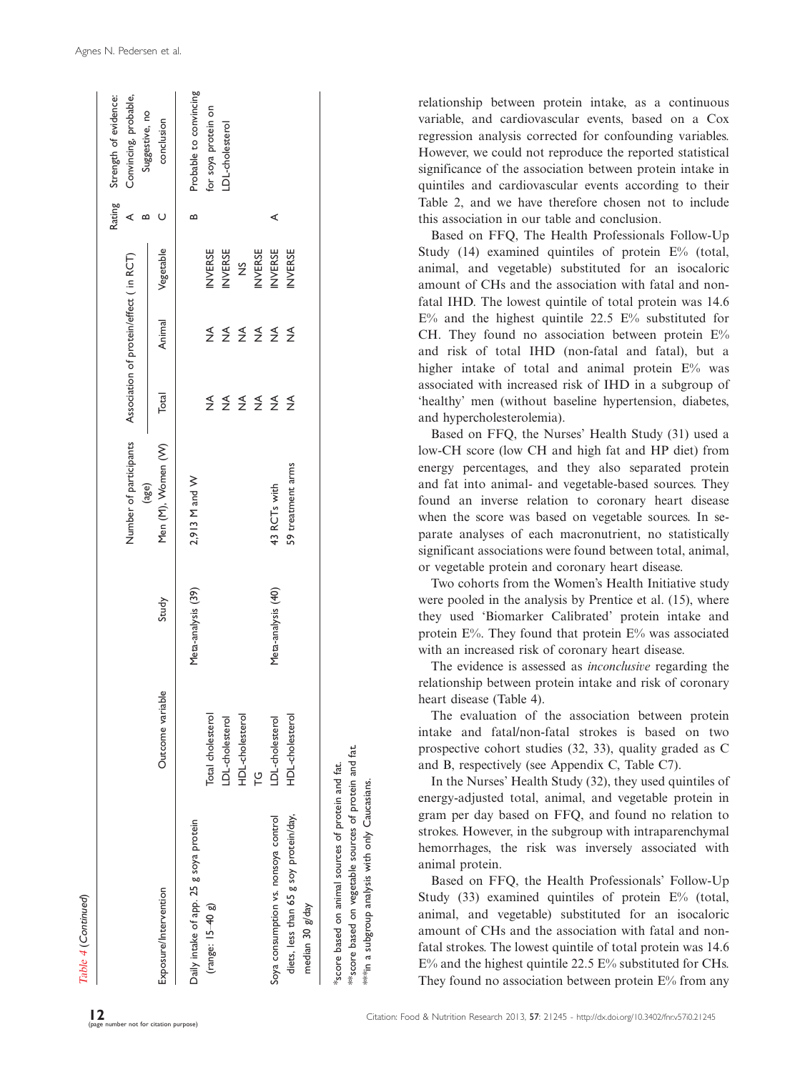|                                                           |                   |                    | Number of participants      |               | Association of protein/effect (in RCT) |                | Rating<br>$\prec$ | Strength of evidence:<br>Convincing, probable, |
|-----------------------------------------------------------|-------------------|--------------------|-----------------------------|---------------|----------------------------------------|----------------|-------------------|------------------------------------------------|
| Exposure/Intervention                                     | Outcome variable  | Study              | Men (M), Women (W)<br>(age) | <b>Total</b>  | Animal                                 | Vegetable      | ≃                 | Suggestive, no<br>conclusion                   |
| Daily intake of app. 25 g soya protein                    |                   | Meta-analysis (39) | 2,913 M and W               |               |                                        |                | ≃                 | Probable to convincing                         |
| $(range: 15-40 g)$                                        | Total cholesterol |                    |                             | ≸             | ≸                                      | <b>INVERSE</b> |                   | for soya protein on                            |
|                                                           | LDL-cholesterol   |                    |                             | $\frac{1}{2}$ | ≸                                      | <b>INVERSE</b> |                   | LDL-cholesterol                                |
|                                                           | HDL-cholesterol   |                    |                             | $\lessgtr$    | ≸                                      | $\frac{8}{2}$  |                   |                                                |
|                                                           | Ľ                 |                    |                             | $\frac{3}{2}$ | $\lessgtr$                             | <b>INVERSE</b> |                   |                                                |
| Soya consumption vs. nonsoya control                      | LDL-cholesterol   | Meta-analysis (40) | 43 RCTs with                | $\lessgtr$    | $\frac{1}{2}$                          | <b>NVERSE</b>  | ⋖                 |                                                |
| diets, less than 65 g soy protein/day,<br>median 30 g/day | HDL-cholesterol   |                    | 59 treatment arms           | $\frac{1}{2}$ | $\frac{1}{2}$                          | <b>NVERSE</b>  |                   |                                                |

\*\*score based on vegetable sources of protein and fat. \*\*\*in a subgroup analysis with only Caucasians.

<sup>#8</sup>score based on vegetable sources of protein and fat. estin a subgroup analysis with only Caucasians. relationship between protein intake, as a continuous variable, and cardiovascular events, based on a Cox regression analysis corrected for confounding variables. However, we could not reproduce the reported statistical significance of the association between protein intake in quintiles and cardiovascular events according to their Table 2, and we have therefore chosen not to include this association in our table and conclusion.

Based on FFQ, The Health Professionals Follow-Up Study (14) examined quintiles of protein E% (total, animal, and vegetable) substituted for an isocaloric amount of CHs and the association with fatal and nonfatal IHD. The lowest quintile of total protein was 14.6 E% and the highest quintile 22.5 E% substituted for CH. They found no association between protein  $E%$ and risk of total IHD (non-fatal and fatal), but a higher intake of total and animal protein E% was associated with increased risk of IHD in a subgroup of 'healthy' men (without baseline hypertension, diabetes, and hypercholesterolemia).

Based on FFQ, the Nurses' Health Study (31) used a low-CH score (low CH and high fat and HP diet) from energy percentages, and they also separated protein and fat into animal- and vegetable-based sources. They found an inverse relation to coronary heart disease when the score was based on vegetable sources. In separate analyses of each macronutrient, no statistically significant associations were found between total, animal, or vegetable protein and coronary heart disease.

Two cohorts from the Women's Health Initiative study were pooled in the analysis by Prentice et al. (15), where they used 'Biomarker Calibrated' protein intake and protein E%. They found that protein E% was associated with an increased risk of coronary heart disease.

The evidence is assessed as inconclusive regarding the relationship between protein intake and risk of coronary heart disease (Table 4).

The evaluation of the association between protein intake and fatal/non-fatal strokes is based on two prospective cohort studies (32, 33), quality graded as C and B, respectively (see [Appendix C, Table C7\)](http://www.foodandnutritionresearch.net/index.php/fnr/rt/suppFiles/21245/0).

In the Nurses' Health Study (32), they used quintiles of energy-adjusted total, animal, and vegetable protein in gram per day based on FFQ, and found no relation to strokes. However, in the subgroup with intraparenchymal hemorrhages, the risk was inversely associated with animal protein.

Based on FFQ, the Health Professionals' Follow-Up Study (33) examined quintiles of protein E% (total, animal, and vegetable) substituted for an isocaloric amount of CHs and the association with fatal and nonfatal strokes. The lowest quintile of total protein was 14.6 E% and the highest quintile 22.5 E% substituted for CHs. They found no association between protein  $E%$  from any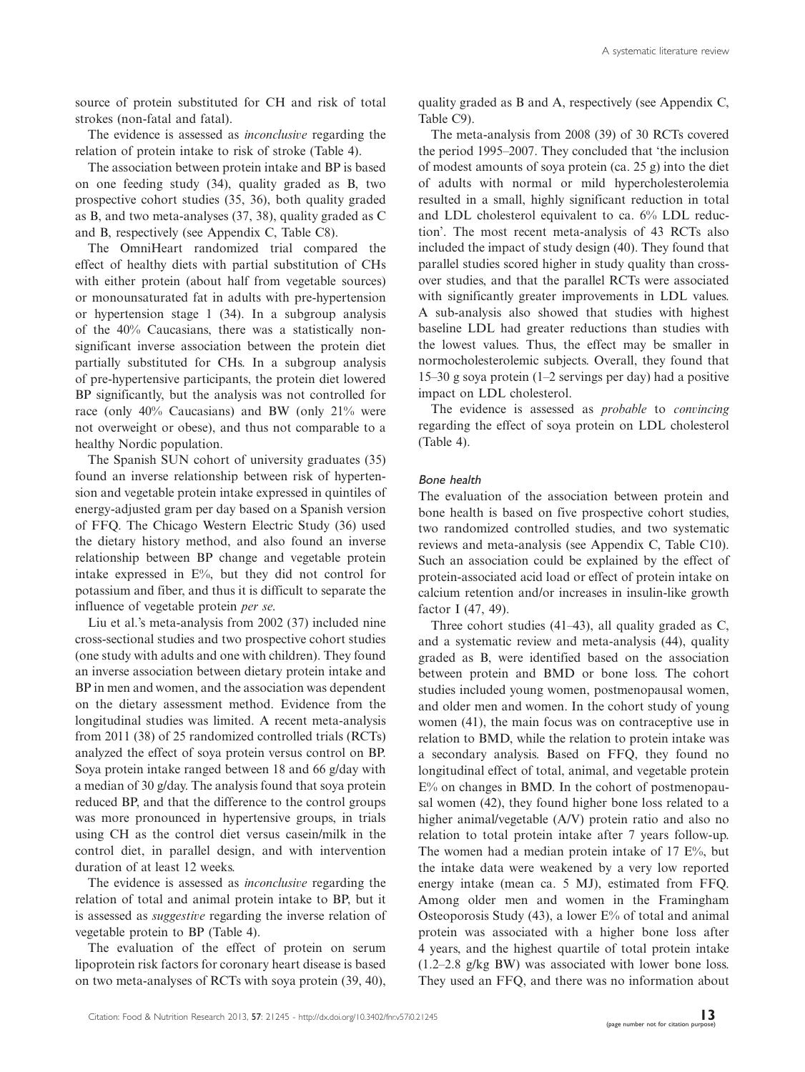source of protein substituted for CH and risk of total strokes (non-fatal and fatal).

The evidence is assessed as *inconclusive* regarding the relation of protein intake to risk of stroke (Table 4).

The association between protein intake and BP is based on one feeding study (34), quality graded as B, two prospective cohort studies (35, 36), both quality graded as B, and two meta-analyses (37, 38), quality graded as C and B, respectively (see [Appendix C, Table C8\)](http://www.foodandnutritionresearch.net/index.php/fnr/rt/suppFiles/21245/0).

The OmniHeart randomized trial compared the effect of healthy diets with partial substitution of CHs with either protein (about half from vegetable sources) or monounsaturated fat in adults with pre-hypertension or hypertension stage 1 (34). In a subgroup analysis of the 40% Caucasians, there was a statistically nonsignificant inverse association between the protein diet partially substituted for CHs. In a subgroup analysis of pre-hypertensive participants, the protein diet lowered BP significantly, but the analysis was not controlled for race (only 40% Caucasians) and BW (only 21% were not overweight or obese), and thus not comparable to a healthy Nordic population.

The Spanish SUN cohort of university graduates (35) found an inverse relationship between risk of hypertension and vegetable protein intake expressed in quintiles of energy-adjusted gram per day based on a Spanish version of FFQ. The Chicago Western Electric Study (36) used the dietary history method, and also found an inverse relationship between BP change and vegetable protein intake expressed in E%, but they did not control for potassium and fiber, and thus it is difficult to separate the influence of vegetable protein per se.

Liu et al.'s meta-analysis from 2002 (37) included nine cross-sectional studies and two prospective cohort studies (one study with adults and one with children). They found an inverse association between dietary protein intake and BP in men and women, and the association was dependent on the dietary assessment method. Evidence from the longitudinal studies was limited. A recent meta-analysis from 2011 (38) of 25 randomized controlled trials (RCTs) analyzed the effect of soya protein versus control on BP. Soya protein intake ranged between 18 and 66 g/day with a median of 30 g/day. The analysis found that soya protein reduced BP, and that the difference to the control groups was more pronounced in hypertensive groups, in trials using CH as the control diet versus casein/milk in the control diet, in parallel design, and with intervention duration of at least 12 weeks.

The evidence is assessed as *inconclusive* regarding the relation of total and animal protein intake to BP, but it is assessed as suggestive regarding the inverse relation of vegetable protein to BP (Table 4).

The evaluation of the effect of protein on serum lipoprotein risk factors for coronary heart disease is based on two meta-analyses of RCTs with soya protein (39, 40),

quality graded as B and A, respectively (see [Appendix C,](http://www.foodandnutritionresearch.net/index.php/fnr/rt/suppFiles/21245/0) [Table C9\)](http://www.foodandnutritionresearch.net/index.php/fnr/rt/suppFiles/21245/0).

The meta-analysis from 2008 (39) of 30 RCTs covered the period 1995-2007. They concluded that 'the inclusion of modest amounts of soya protein (ca. 25 g) into the diet of adults with normal or mild hypercholesterolemia resulted in a small, highly significant reduction in total and LDL cholesterol equivalent to ca. 6% LDL reduction'. The most recent meta-analysis of 43 RCTs also included the impact of study design (40). They found that parallel studies scored higher in study quality than crossover studies, and that the parallel RCTs were associated with significantly greater improvements in LDL values. A sub-analysis also showed that studies with highest baseline LDL had greater reductions than studies with the lowest values. Thus, the effect may be smaller in normocholesterolemic subjects. Overall, they found that 15-30 g soya protein (1-2 servings per day) had a positive impact on LDL cholesterol.

The evidence is assessed as *probable* to *convincing* regarding the effect of soya protein on LDL cholesterol (Table 4).

### Bone health

The evaluation of the association between protein and bone health is based on five prospective cohort studies, two randomized controlled studies, and two systematic reviews and meta-analysis (see [Appendix C, Table C10](http://www.foodandnutritionresearch.net/index.php/fnr/rt/suppFiles/21245/0)). Such an association could be explained by the effect of protein-associated acid load or effect of protein intake on calcium retention and/or increases in insulin-like growth factor I (47, 49).

Three cohort studies (41-43), all quality graded as C, and a systematic review and meta-analysis (44), quality graded as B, were identified based on the association between protein and BMD or bone loss. The cohort studies included young women, postmenopausal women, and older men and women. In the cohort study of young women (41), the main focus was on contraceptive use in relation to BMD, while the relation to protein intake was a secondary analysis. Based on FFQ, they found no longitudinal effect of total, animal, and vegetable protein E% on changes in BMD. In the cohort of postmenopausal women (42), they found higher bone loss related to a higher animal/vegetable (A/V) protein ratio and also no relation to total protein intake after 7 years follow-up. The women had a median protein intake of 17 E%, but the intake data were weakened by a very low reported energy intake (mean ca. 5 MJ), estimated from FFQ. Among older men and women in the Framingham Osteoporosis Study  $(43)$ , a lower  $E%$  of total and animal protein was associated with a higher bone loss after 4 years, and the highest quartile of total protein intake (1.2-2.8 g/kg BW) was associated with lower bone loss. They used an FFQ, and there was no information about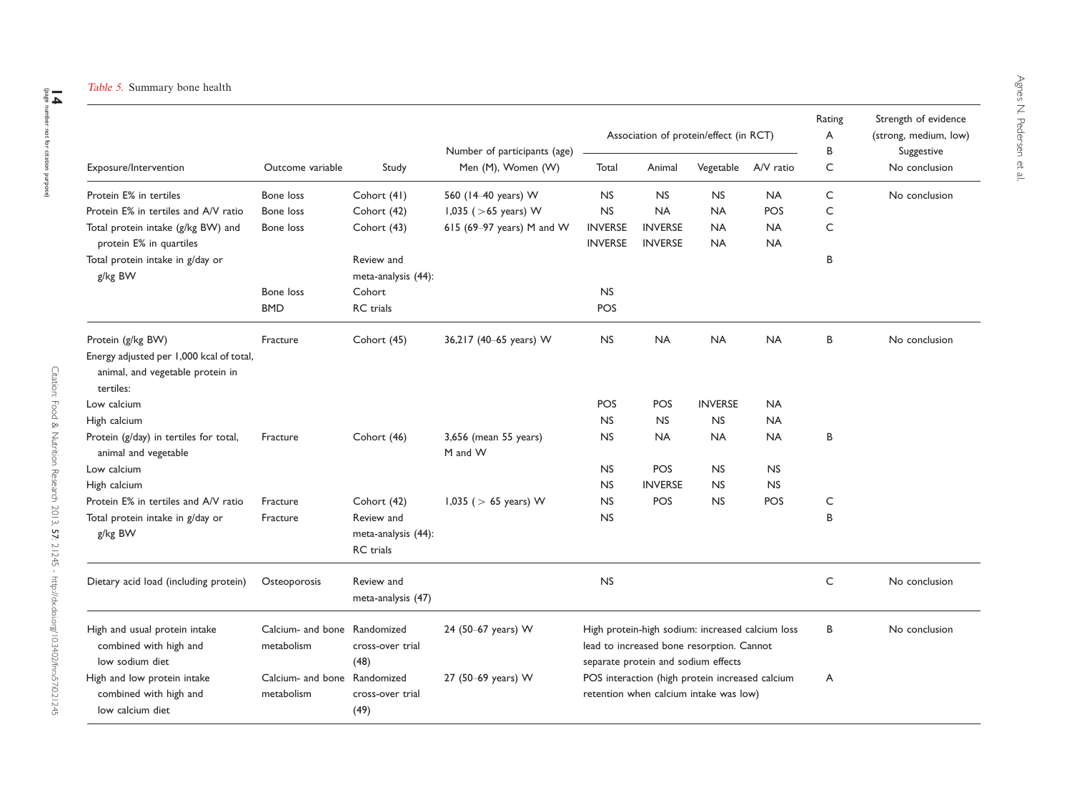|                                                                                           |                                 |                                                | Number of participants (age)     |                                  |                                     | Association of protein/effect (in RCT)                                                        |                        | Rating<br>A<br>В | Strength of evidence<br>(strong, medium, low)<br>Suggestive |
|-------------------------------------------------------------------------------------------|---------------------------------|------------------------------------------------|----------------------------------|----------------------------------|-------------------------------------|-----------------------------------------------------------------------------------------------|------------------------|------------------|-------------------------------------------------------------|
| Exposure/Intervention                                                                     | Outcome variable                | Study                                          | Men (M), Women (W)               | Total                            | Animal                              | Vegetable                                                                                     | A/V ratio              | C                | No conclusion                                               |
| Protein E% in tertiles                                                                    | Bone loss                       | Cohort (41)                                    | 560 (14-40 years) W              | <b>NS</b>                        | <b>NS</b>                           | <b>NS</b>                                                                                     | <b>NA</b>              | C                | No conclusion                                               |
| Protein E% in tertiles and A/V ratio                                                      | Bone loss                       | Cohort (42)                                    | 1,035 ( $>65$ years) W           | <b>NS</b>                        | <b>NA</b>                           | <b>NA</b>                                                                                     | POS                    | C                |                                                             |
| Total protein intake (g/kg BW) and<br>protein E% in quartiles                             | Bone loss                       | Cohort (43)                                    | 615 (69-97 years) M and W        | <b>INVERSE</b><br><b>INVERSE</b> | <b>INVERSE</b><br><b>INVERSE</b>    | <b>NA</b><br><b>NA</b>                                                                        | <b>NA</b><br><b>NA</b> | C                |                                                             |
| Total protein intake in g/day or<br>g/kg BW                                               |                                 | Review and<br>meta-analysis (44):              |                                  |                                  |                                     |                                                                                               |                        | B                |                                                             |
|                                                                                           | Bone loss<br><b>BMD</b>         | Cohort<br><b>RC</b> trials                     |                                  | NS<br><b>POS</b>                 |                                     |                                                                                               |                        |                  |                                                             |
| Protein (g/kg BW)                                                                         | Fracture                        | Cohort (45)                                    | 36,217 (40-65 years) W           | <b>NS</b>                        | <b>NA</b>                           | <b>NA</b>                                                                                     | <b>NA</b>              | B                | No conclusion                                               |
| Energy adjusted per 1,000 kcal of total,<br>animal, and vegetable protein in<br>tertiles: |                                 |                                                |                                  |                                  |                                     |                                                                                               |                        |                  |                                                             |
| Low calcium                                                                               |                                 |                                                |                                  | <b>POS</b>                       | POS                                 | <b>INVERSE</b>                                                                                | <b>NA</b>              |                  |                                                             |
| High calcium                                                                              |                                 |                                                |                                  | <b>NS</b>                        | <b>NS</b>                           | <b>NS</b>                                                                                     | <b>NA</b>              |                  |                                                             |
| Protein (g/day) in tertiles for total,<br>animal and vegetable                            | Fracture                        | Cohort (46)                                    | 3,656 (mean 55 years)<br>M and W | NS                               | <b>NA</b>                           | <b>NA</b>                                                                                     | <b>NA</b>              | B                |                                                             |
| Low calcium                                                                               |                                 |                                                |                                  | <b>NS</b>                        | POS                                 | <b>NS</b>                                                                                     | <b>NS</b>              |                  |                                                             |
| High calcium                                                                              |                                 |                                                |                                  | <b>NS</b>                        | <b>INVERSE</b>                      | <b>NS</b>                                                                                     | N <sub>S</sub>         |                  |                                                             |
| Protein E% in tertiles and A/V ratio                                                      | Fracture                        | Cohort (42)                                    | 1,035 ( $> 65$ years) W          | <b>NS</b>                        | POS                                 | <b>NS</b>                                                                                     | POS                    | C                |                                                             |
| Total protein intake in g/day or<br>g/kg BW                                               | Fracture                        | Review and<br>meta-analysis (44):<br>RC trials |                                  | NS                               |                                     |                                                                                               |                        | B                |                                                             |
| Dietary acid load (including protein)                                                     | Osteoporosis                    | Review and<br>meta-analysis (47)               |                                  | <b>NS</b>                        |                                     |                                                                                               |                        | C                | No conclusion                                               |
| High and usual protein intake<br>combined with high and<br>low sodium diet                | Calcium- and bone<br>metabolism | Randomized<br>cross-over trial<br>(48)         | 24 (50-67 years) W               |                                  | separate protein and sodium effects | High protein-high sodium: increased calcium loss<br>lead to increased bone resorption. Cannot |                        | В                | No conclusion                                               |
| High and low protein intake<br>combined with high and<br>low calcium diet                 | Calcium- and bone<br>metabolism | Randomized<br>cross-over trial<br>(49)         | 27 (50-69 years) W               |                                  |                                     | POS interaction (high protein increased calcium<br>retention when calcium intake was low)     |                        | A                |                                                             |

(page number not for citation purpose)

number not for citation purpose)

 $14^{\circ}$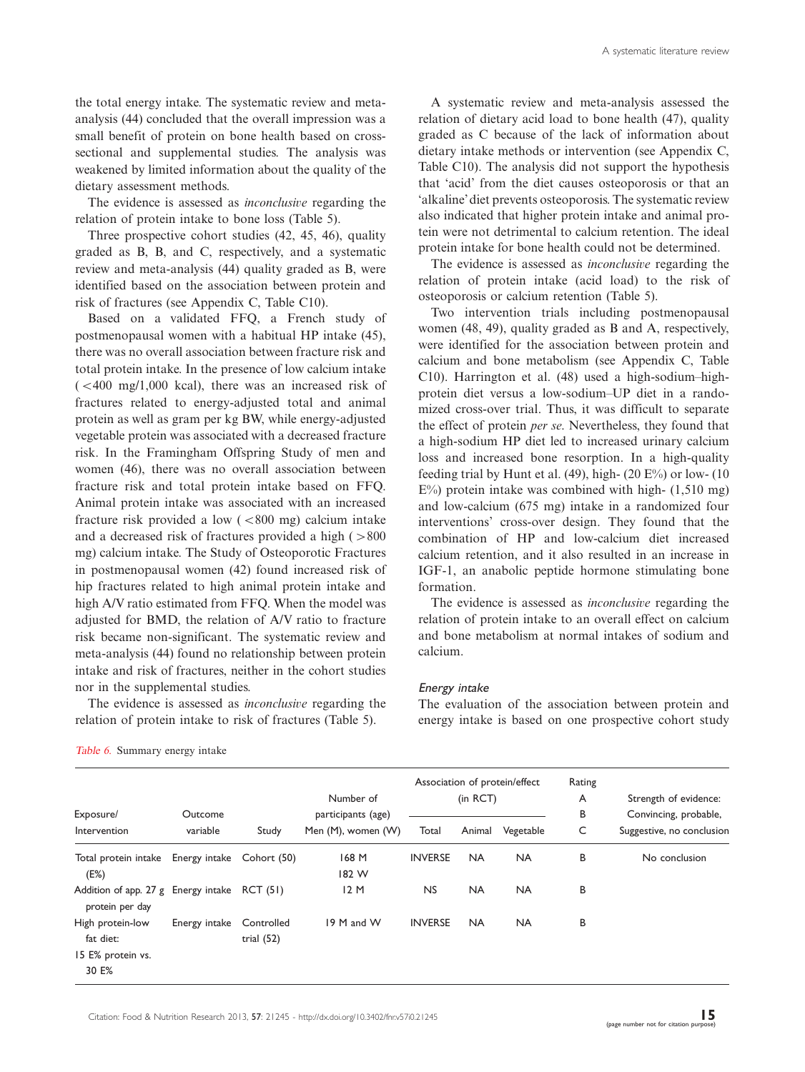the total energy intake. The systematic review and metaanalysis (44) concluded that the overall impression was a small benefit of protein on bone health based on crosssectional and supplemental studies. The analysis was weakened by limited information about the quality of the dietary assessment methods.

The evidence is assessed as *inconclusive* regarding the relation of protein intake to bone loss (Table 5).

Three prospective cohort studies (42, 45, 46), quality graded as B, B, and C, respectively, and a systematic review and meta-analysis (44) quality graded as B, were identified based on the association between protein and risk of fractures (see [Appendix C, Table C10](http://www.foodandnutritionresearch.net/index.php/fnr/rt/suppFiles/21245/0)).

Based on a validated FFQ, a French study of postmenopausal women with a habitual HP intake (45), there was no overall association between fracture risk and total protein intake. In the presence of low calcium intake  $\epsilon$  <400 mg/1,000 kcal), there was an increased risk of fractures related to energy-adjusted total and animal protein as well as gram per kg BW, while energy-adjusted vegetable protein was associated with a decreased fracture risk. In the Framingham Offspring Study of men and women (46), there was no overall association between fracture risk and total protein intake based on FFQ. Animal protein intake was associated with an increased fracture risk provided a low  $(< 800$  mg) calcium intake and a decreased risk of fractures provided a high  $( >800$ mg) calcium intake. The Study of Osteoporotic Fractures in postmenopausal women (42) found increased risk of hip fractures related to high animal protein intake and high A/V ratio estimated from FFQ. When the model was adjusted for BMD, the relation of A/V ratio to fracture risk became non-significant. The systematic review and meta-analysis (44) found no relationship between protein intake and risk of fractures, neither in the cohort studies nor in the supplemental studies.

The evidence is assessed as inconclusive regarding the relation of protein intake to risk of fractures (Table 5).

A systematic review and meta-analysis assessed the relation of dietary acid load to bone health (47), quality graded as C because of the lack of information about dietary intake methods or intervention (see [Appendix C,](http://www.foodandnutritionresearch.net/index.php/fnr/rt/suppFiles/21245/0) [Table C10\)](http://www.foodandnutritionresearch.net/index.php/fnr/rt/suppFiles/21245/0). The analysis did not support the hypothesis that 'acid' from the diet causes osteoporosis or that an 'alkaline'diet prevents osteoporosis. The systematic review also indicated that higher protein intake and animal protein were not detrimental to calcium retention. The ideal protein intake for bone health could not be determined.

The evidence is assessed as inconclusive regarding the relation of protein intake (acid load) to the risk of osteoporosis or calcium retention (Table 5).

Two intervention trials including postmenopausal women (48, 49), quality graded as B and A, respectively, were identified for the association between protein and calcium and bone metabolism (see [Appendix C, Table](http://www.foodandnutritionresearch.net/index.php/fnr/rt/suppFiles/21245/0) [C10\)](http://www.foodandnutritionresearch.net/index.php/fnr/rt/suppFiles/21245/0). Harrington et al. (48) used a high-sodium-highprotein diet versus a low-sodium-UP diet in a randomized cross-over trial. Thus, it was difficult to separate the effect of protein per se. Nevertheless, they found that a high-sodium HP diet led to increased urinary calcium loss and increased bone resorption. In a high-quality feeding trial by Hunt et al. (49), high- (20 E%) or low- (10  $E\%$ ) protein intake was combined with high- (1,510 mg) and low-calcium (675 mg) intake in a randomized four interventions' cross-over design. They found that the combination of HP and low-calcium diet increased calcium retention, and it also resulted in an increase in IGF-1, an anabolic peptide hormone stimulating bone formation.

The evidence is assessed as inconclusive regarding the relation of protein intake to an overall effect on calcium and bone metabolism at normal intakes of sodium and calcium.

### Energy intake

The evaluation of the association between protein and energy intake is based on one prospective cohort study

|  |  | Table 6. Summary energy intake |  |  |
|--|--|--------------------------------|--|--|
|--|--|--------------------------------|--|--|

| Exposure/                                              | Outcome       |                            | Number of<br>participants (age) |                | (in RCT)  | Association of protein/effect | Rating<br>A<br>В | Strength of evidence:<br>Convincing, probable, |
|--------------------------------------------------------|---------------|----------------------------|---------------------------------|----------------|-----------|-------------------------------|------------------|------------------------------------------------|
| Intervention                                           | variable      | Study                      | Men (M), women (W)              | Total          | Animal    | Vegetable                     | C                | Suggestive, no conclusion                      |
| Total protein intake Energy intake<br>$(E\%)$          |               | Cohort (50)                | 168 M<br>182 W                  | <b>INVERSE</b> | <b>NA</b> | <b>NA</b>                     | В                | No conclusion                                  |
| Addition of app. 27 g Energy intake<br>protein per day |               | <b>RCT (51)</b>            | 12 M                            | <b>NS</b>      | <b>NA</b> | <b>NA</b>                     | В                |                                                |
| High protein-low<br>fat diet:                          | Energy intake | Controlled<br>trial $(52)$ | 19 M and W                      | <b>INVERSE</b> | <b>NA</b> | <b>NA</b>                     | В                |                                                |
| 15 E% protein vs.<br>30 E%                             |               |                            |                                 |                |           |                               |                  |                                                |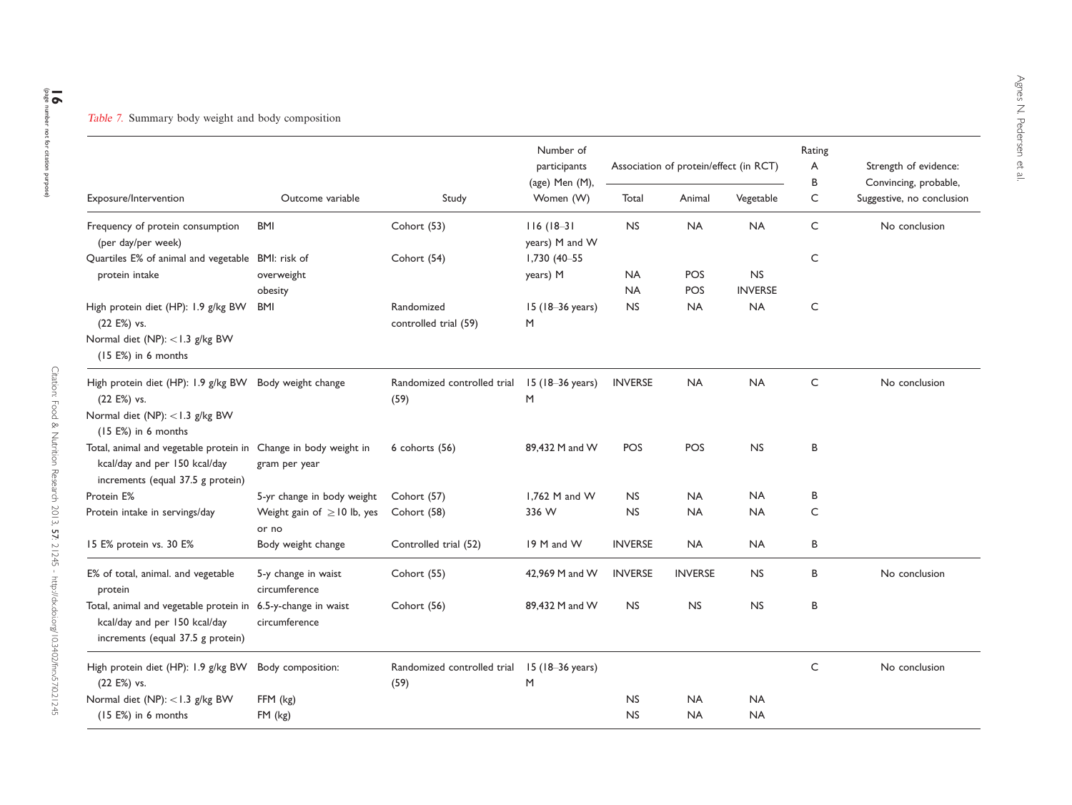| Exposure/Intervention                                                                                                                  | Outcome variable                          | Study                               | Number of<br>participants<br>(age) Men (M),<br>Women (W) | Total                       | Association of protein/effect (in RCT)<br>Animal | Vegetable                   | Rating<br>A<br>B<br>C | Strength of evidence:<br>Convincing, probable,<br>Suggestive, no conclusion |
|----------------------------------------------------------------------------------------------------------------------------------------|-------------------------------------------|-------------------------------------|----------------------------------------------------------|-----------------------------|--------------------------------------------------|-----------------------------|-----------------------|-----------------------------------------------------------------------------|
| Frequency of protein consumption<br>(per day/per week)                                                                                 | <b>BMI</b>                                | Cohort (53)                         | $116(18-31)$<br>years) M and W                           | <b>NS</b>                   | <b>NA</b>                                        | <b>NA</b>                   | C                     | No conclusion                                                               |
| Quartiles E% of animal and vegetable BMI: risk of<br>protein intake                                                                    | overweight<br>obesity                     | Cohort (54)                         | 1,730 (40-55<br>years) M                                 | <b>NA</b><br><b>NA</b>      | <b>POS</b><br>POS                                | <b>NS</b><br><b>INVERSE</b> | C                     |                                                                             |
| High protein diet (HP): 1.9 g/kg BW<br>(22 E%) vs.<br>Normal diet (NP): <1.3 g/kg BW<br>(15 E%) in 6 months                            | <b>BMI</b>                                | Randomized<br>controlled trial (59) | 15 (18-36 years)<br>M                                    | <b>NS</b>                   | <b>NA</b>                                        | <b>NA</b>                   | C                     |                                                                             |
| High protein diet (HP): 1.9 g/kg BW<br>(22 E%) vs.<br>Normal diet (NP): <1.3 g/kg BW<br>(15 E%) in 6 months                            | Body weight change                        | Randomized controlled trial<br>(59) | 15 (18-36 years)<br>M                                    | <b>INVERSE</b>              | <b>NA</b>                                        | <b>NA</b>                   | C                     | No conclusion                                                               |
| Total, animal and vegetable protein in  Change in body weight in<br>kcal/day and per 150 kcal/day<br>increments (equal 37.5 g protein) | gram per year                             | 6 cohorts (56)                      | 89,432 M and W                                           | <b>POS</b>                  | POS                                              | N <sub>S</sub>              | B                     |                                                                             |
| Protein E%                                                                                                                             | 5-yr change in body weight                | Cohort (57)                         | 1,762 M and W                                            | NS.                         | <b>NA</b>                                        | <b>NA</b>                   | В                     |                                                                             |
| Protein intake in servings/day                                                                                                         | Weight gain of $\geq$ 10 lb, yes<br>or no | Cohort (58)                         | 336 W                                                    | <b>NS</b>                   | <b>NA</b>                                        | <b>NA</b>                   | C                     |                                                                             |
| 15 E% protein vs. 30 E%                                                                                                                | Body weight change                        | Controlled trial (52)               | 19 M and W                                               | <b>INVERSE</b>              | <b>NA</b>                                        | <b>NA</b>                   | В                     |                                                                             |
| E% of total, animal. and vegetable<br>protein                                                                                          | 5-y change in waist<br>circumference      | Cohort (55)                         | 42,969 M and W                                           | <b>INVERSE</b>              | <b>INVERSE</b>                                   | <b>NS</b>                   | В                     | No conclusion                                                               |
| Total, animal and vegetable protein in<br>kcal/day and per 150 kcal/day<br>increments (equal 37.5 g protein)                           | 6.5-y-change in waist<br>circumference    | Cohort (56)                         | 89,432 M and W                                           | <b>NS</b>                   | <b>NS</b>                                        | <b>NS</b>                   | В                     |                                                                             |
| High protein diet (HP): 1.9 g/kg BW<br>(22 E%) vs.                                                                                     | Body composition:                         | Randomized controlled trial<br>(59) | 15 (18-36 years)<br>M                                    |                             |                                                  |                             | $\subset$             | No conclusion                                                               |
| Normal diet (NP): <1.3 g/kg BW<br>(15 E%) in 6 months                                                                                  | FFM (kg)<br>FM (kg)                       |                                     |                                                          | <b>NS</b><br>N <sub>S</sub> | <b>NA</b><br><b>NA</b>                           | <b>NA</b><br><b>NA</b>      |                       |                                                                             |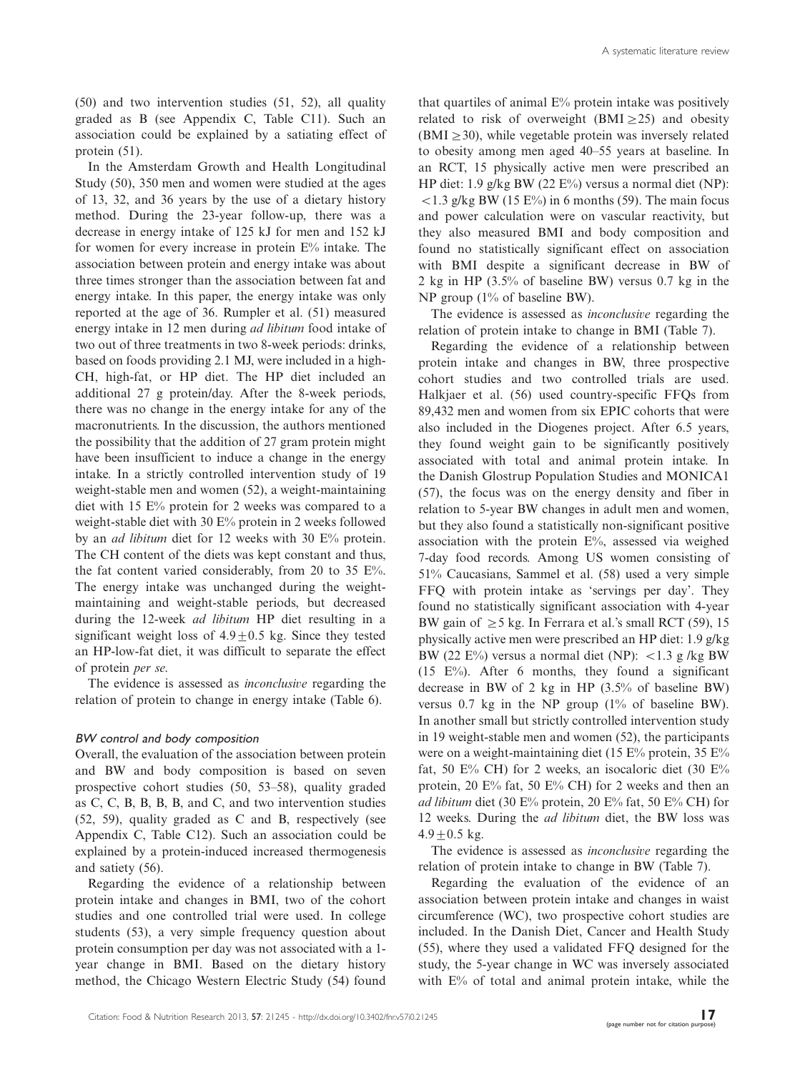(50) and two intervention studies (51, 52), all quality graded as B (see [Appendix C, Table C11\)](http://www.foodandnutritionresearch.net/index.php/fnr/rt/suppFiles/21245/0). Such an association could be explained by a satiating effect of protein (51).

In the Amsterdam Growth and Health Longitudinal Study (50), 350 men and women were studied at the ages of 13, 32, and 36 years by the use of a dietary history method. During the 23-year follow-up, there was a decrease in energy intake of 125 kJ for men and 152 kJ for women for every increase in protein E% intake. The association between protein and energy intake was about three times stronger than the association between fat and energy intake. In this paper, the energy intake was only reported at the age of 36. Rumpler et al. (51) measured energy intake in 12 men during ad libitum food intake of two out of three treatments in two 8-week periods: drinks, based on foods providing 2.1 MJ, were included in a high-CH, high-fat, or HP diet. The HP diet included an additional 27 g protein/day. After the 8-week periods, there was no change in the energy intake for any of the macronutrients. In the discussion, the authors mentioned the possibility that the addition of 27 gram protein might have been insufficient to induce a change in the energy intake. In a strictly controlled intervention study of 19 weight-stable men and women (52), a weight-maintaining diet with 15 E% protein for 2 weeks was compared to a weight-stable diet with 30 E% protein in 2 weeks followed by an ad libitum diet for 12 weeks with 30 E% protein. The CH content of the diets was kept constant and thus, the fat content varied considerably, from 20 to 35 E%. The energy intake was unchanged during the weightmaintaining and weight-stable periods, but decreased during the 12-week ad libitum HP diet resulting in a significant weight loss of  $4.9+0.5$  kg. Since they tested an HP-low-fat diet, it was difficult to separate the effect of protein per se.

The evidence is assessed as *inconclusive* regarding the relation of protein to change in energy intake (Table 6).

### BW control and body composition

Overall, the evaluation of the association between protein and BW and body composition is based on seven prospective cohort studies (50, 53-58), quality graded as C, C, B, B, B, B, and C, and two intervention studies (52, 59), quality graded as C and B, respectively (see [Appendix C, Table C12](http://www.foodandnutritionresearch.net/index.php/fnr/rt/suppFiles/21245/0)). Such an association could be explained by a protein-induced increased thermogenesis and satiety (56).

Regarding the evidence of a relationship between protein intake and changes in BMI, two of the cohort studies and one controlled trial were used. In college students (53), a very simple frequency question about protein consumption per day was not associated with a 1 year change in BMI. Based on the dietary history method, the Chicago Western Electric Study (54) found that quartiles of animal E% protein intake was positively related to risk of overweight (BMI $\geq$ 25) and obesity  $(BMI \geq 30)$ , while vegetable protein was inversely related to obesity among men aged 40-55 years at baseline. In an RCT, 15 physically active men were prescribed an HP diet: 1.9 g/kg BW (22 E%) versus a normal diet (NP):  $1.3$  g/kg BW (15 E%) in 6 months (59). The main focus and power calculation were on vascular reactivity, but they also measured BMI and body composition and found no statistically significant effect on association with BMI despite a significant decrease in BW of 2 kg in HP (3.5% of baseline BW) versus 0.7 kg in the NP group (1% of baseline BW).

The evidence is assessed as inconclusive regarding the relation of protein intake to change in BMI (Table 7).

Regarding the evidence of a relationship between protein intake and changes in BW, three prospective cohort studies and two controlled trials are used. Halkjaer et al. (56) used country-specific FFQs from 89,432 men and women from six EPIC cohorts that were also included in the Diogenes project. After 6.5 years, they found weight gain to be significantly positively associated with total and animal protein intake. In the Danish Glostrup Population Studies and MONICA1 (57), the focus was on the energy density and fiber in relation to 5-year BW changes in adult men and women, but they also found a statistically non-significant positive association with the protein E%, assessed via weighed 7-day food records. Among US women consisting of 51% Caucasians, Sammel et al. (58) used a very simple FFQ with protein intake as 'servings per day'. They found no statistically significant association with 4-year BW gain of  $\geq$  5 kg. In Ferrara et al.'s small RCT (59), 15 physically active men were prescribed an HP diet: 1.9 g/kg BW (22 E%) versus a normal diet (NP):  $\langle 1.3 \rangle$  g /kg BW (15  $E\%$ ). After 6 months, they found a significant decrease in BW of 2 kg in HP (3.5% of baseline BW) versus 0.7 kg in the NP group (1% of baseline BW). In another small but strictly controlled intervention study in 19 weight-stable men and women (52), the participants were on a weight-maintaining diet (15  $E\%$  protein, 35  $E\%$ ) fat, 50 E% CH) for 2 weeks, an isocaloric diet (30 E% protein, 20 E% fat, 50 E% CH) for 2 weeks and then an ad libitum diet (30 E% protein, 20 E% fat, 50 E% CH) for 12 weeks. During the ad libitum diet, the BW loss was  $4.9 \pm 0.5$  kg.

The evidence is assessed as *inconclusive* regarding the relation of protein intake to change in BW (Table 7).

Regarding the evaluation of the evidence of an association between protein intake and changes in waist circumference (WC), two prospective cohort studies are included. In the Danish Diet, Cancer and Health Study (55), where they used a validated FFQ designed for the study, the 5-year change in WC was inversely associated with E% of total and animal protein intake, while the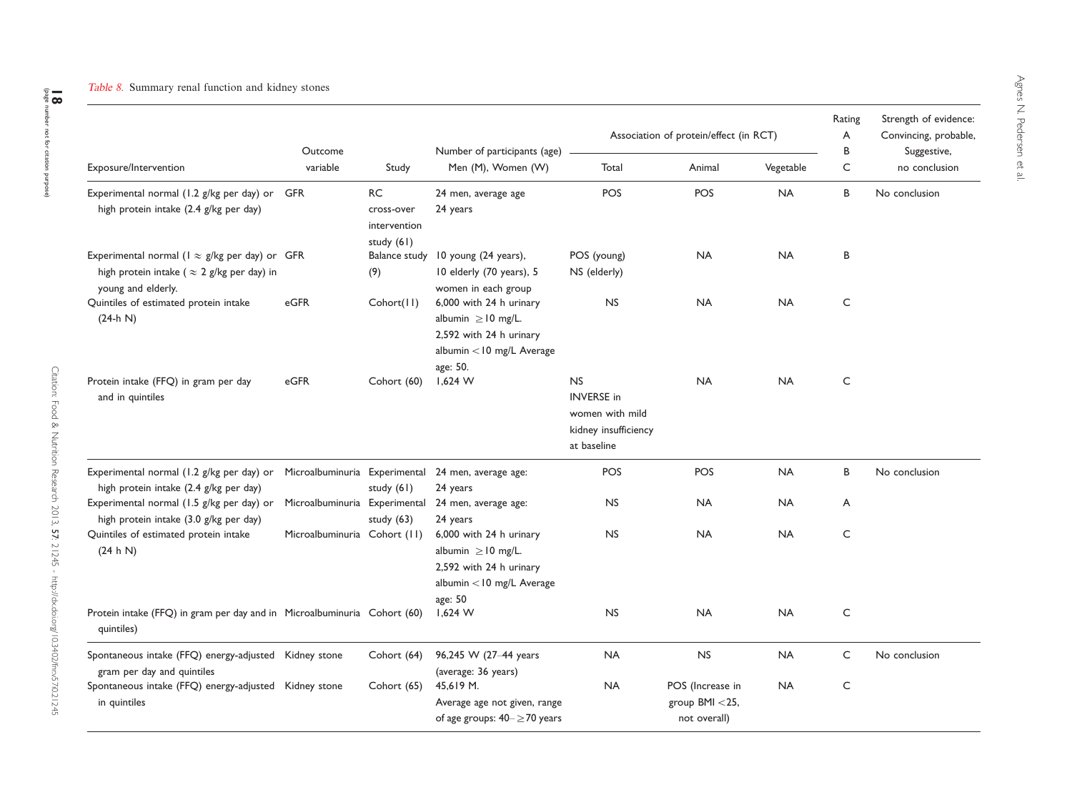### Table 8. Summary renal function and kidney stones

|                                                                                                                                        | Outcome                       |                                                       | Number of participants (age)                                                                                           |                                                                                          | Association of protein/effect (in RCT)                 |           | Rating<br>A<br>B | Strength of evidence:<br>Convincing, probable,<br>Suggestive, |
|----------------------------------------------------------------------------------------------------------------------------------------|-------------------------------|-------------------------------------------------------|------------------------------------------------------------------------------------------------------------------------|------------------------------------------------------------------------------------------|--------------------------------------------------------|-----------|------------------|---------------------------------------------------------------|
| Exposure/Intervention                                                                                                                  | variable                      | Study                                                 | Men (M), Women (W)                                                                                                     | Total                                                                                    | Animal                                                 | Vegetable | C                | no conclusion                                                 |
| Experimental normal (1.2 g/kg per day) or GFR<br>high protein intake (2.4 g/kg per day)                                                |                               | <b>RC</b><br>cross-over<br>intervention<br>study (61) | 24 men, average age<br>24 years                                                                                        | POS                                                                                      | POS                                                    | <b>NA</b> | В                | No conclusion                                                 |
| Experimental normal ( $1 \approx g/kg$ per day) or GFR<br>high protein intake ( $\approx 2$ g/kg per day) in<br>young and elderly.     |                               | (9)                                                   | Balance study 10 young (24 years),<br>10 elderly (70 years), 5<br>women in each group                                  | POS (young)<br>NS (elderly)                                                              | <b>NA</b>                                              | <b>NA</b> | В                |                                                               |
| Quintiles of estimated protein intake<br>$(24-h N)$                                                                                    | eGFR                          | Cohort(I)                                             | 6,000 with 24 h urinary<br>albumin $\geq$ 10 mg/L.<br>2,592 with 24 h urinary<br>albumin < 10 mg/L Average<br>age: 50. | <b>NS</b>                                                                                | <b>NA</b>                                              | <b>NA</b> | C                |                                                               |
| Protein intake (FFQ) in gram per day<br>and in quintiles                                                                               | eGFR                          | Cohort (60)                                           | $1,624$ W                                                                                                              | <b>NS</b><br><b>INVERSE</b> in<br>women with mild<br>kidney insufficiency<br>at baseline | <b>NA</b>                                              | <b>NA</b> | C                |                                                               |
| Experimental normal (1.2 g/kg per day) or Microalbuminuria Experimental 24 men, average age:<br>high protein intake (2.4 g/kg per day) |                               | study $(61)$                                          | 24 years                                                                                                               | POS                                                                                      | POS                                                    | <b>NA</b> | В                | No conclusion                                                 |
| Experimental normal (1.5 g/kg per day) or<br>high protein intake (3.0 g/kg per day)                                                    | Microalbuminuria Experimental | study $(63)$                                          | 24 men, average age:<br>24 years                                                                                       | <b>NS</b>                                                                                | <b>NA</b>                                              | <b>NA</b> | A                |                                                               |
| Quintiles of estimated protein intake<br>(24 h N)                                                                                      | Microalbuminuria Cohort (11)  |                                                       | 6,000 with 24 h urinary<br>albumin $\geq$ 10 mg/L.<br>2,592 with 24 h urinary<br>albumin < 10 mg/L Average<br>age: 50  | <b>NS</b>                                                                                | <b>NA</b>                                              | <b>NA</b> | C                |                                                               |
| Protein intake (FFQ) in gram per day and in Microalbuminuria Cohort (60)<br>quintiles)                                                 |                               |                                                       | $1,624$ W                                                                                                              | <b>NS</b>                                                                                | <b>NA</b>                                              | <b>NA</b> | C                |                                                               |
| Spontaneous intake (FFQ) energy-adjusted Kidney stone<br>gram per day and quintiles                                                    |                               | Cohort (64)                                           | 96,245 W (27-44 years<br>(average: 36 years)                                                                           | <b>NA</b>                                                                                | <b>NS</b>                                              | <b>NA</b> | C                | No conclusion                                                 |
| Spontaneous intake (FFQ) energy-adjusted Kidney stone<br>in quintiles                                                                  |                               | Cohort (65)                                           | 45,619 M.<br>Average age not given, range<br>of age groups: $40 - \ge 70$ years                                        | <b>NA</b>                                                                                | POS (Increase in<br>group $BMI < 25$ ,<br>not overall) | <b>NA</b> | C                |                                                               |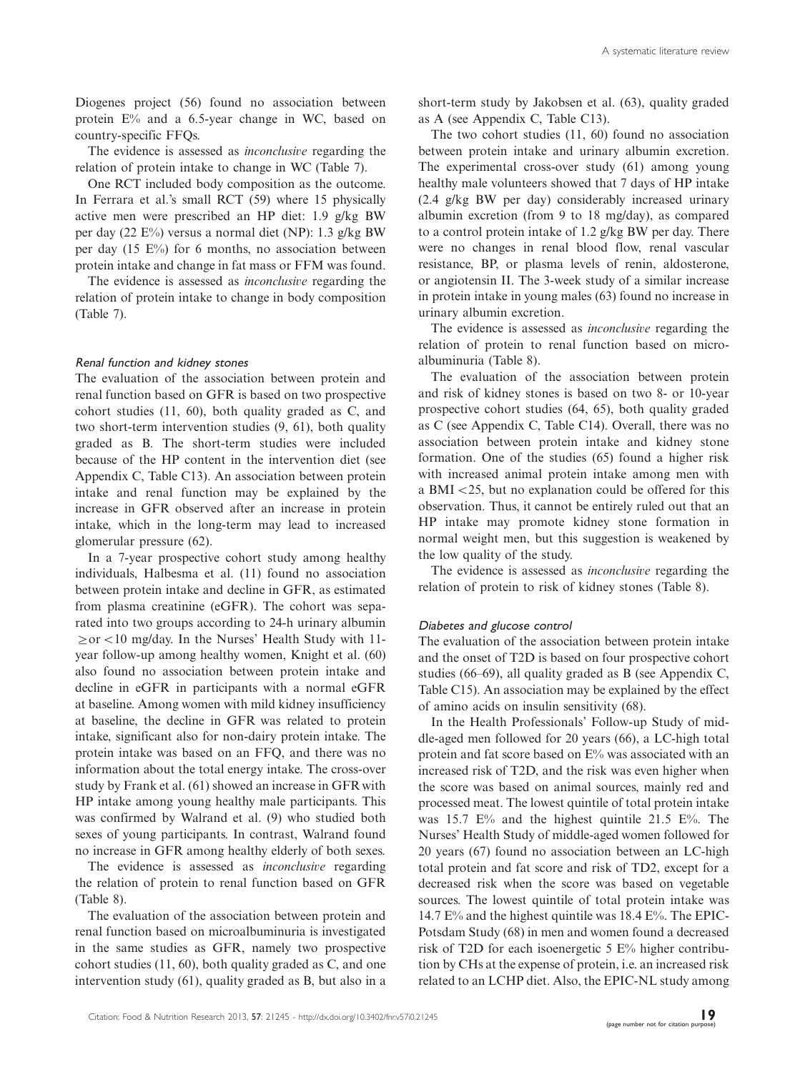Diogenes project (56) found no association between protein E% and a 6.5-year change in WC, based on country-specific FFQs.

The evidence is assessed as *inconclusive* regarding the relation of protein intake to change in WC (Table 7).

One RCT included body composition as the outcome. In Ferrara et al.'s small RCT (59) where 15 physically active men were prescribed an HP diet: 1.9 g/kg BW per day (22 E%) versus a normal diet (NP): 1.3 g/kg BW per day (15 E%) for 6 months, no association between protein intake and change in fat mass or FFM was found.

The evidence is assessed as *inconclusive* regarding the relation of protein intake to change in body composition (Table 7).

### Renal function and kidney stones

The evaluation of the association between protein and renal function based on GFR is based on two prospective cohort studies (11, 60), both quality graded as C, and two short-term intervention studies (9, 61), both quality graded as B. The short-term studies were included because of the HP content in the intervention diet (see [Appendix C, Table C13](http://www.foodandnutritionresearch.net/index.php/fnr/rt/suppFiles/21245/0)). An association between protein intake and renal function may be explained by the increase in GFR observed after an increase in protein intake, which in the long-term may lead to increased glomerular pressure (62).

In a 7-year prospective cohort study among healthy individuals, Halbesma et al. (11) found no association between protein intake and decline in GFR, as estimated from plasma creatinine (eGFR). The cohort was separated into two groups according to 24-h urinary albumin  $\geq$  or < 10 mg/day. In the Nurses' Health Study with 11year follow-up among healthy women, Knight et al. (60) also found no association between protein intake and decline in eGFR in participants with a normal eGFR at baseline. Among women with mild kidney insufficiency at baseline, the decline in GFR was related to protein intake, significant also for non-dairy protein intake. The protein intake was based on an FFQ, and there was no information about the total energy intake. The cross-over study by Frank et al. (61) showed an increase in GFRwith HP intake among young healthy male participants. This was confirmed by Walrand et al. (9) who studied both sexes of young participants. In contrast, Walrand found no increase in GFR among healthy elderly of both sexes.

The evidence is assessed as *inconclusive* regarding the relation of protein to renal function based on GFR (Table 8).

The evaluation of the association between protein and renal function based on microalbuminuria is investigated in the same studies as GFR, namely two prospective cohort studies (11, 60), both quality graded as C, and one intervention study (61), quality graded as B, but also in a

short-term study by Jakobsen et al. (63), quality graded as A (see [Appendix C, Table C13\)](http://www.foodandnutritionresearch.net/index.php/fnr/rt/suppFiles/21245/0).

The two cohort studies (11, 60) found no association between protein intake and urinary albumin excretion. The experimental cross-over study (61) among young healthy male volunteers showed that 7 days of HP intake (2.4 g/kg BW per day) considerably increased urinary albumin excretion (from 9 to 18 mg/day), as compared to a control protein intake of 1.2 g/kg BW per day. There were no changes in renal blood flow, renal vascular resistance, BP, or plasma levels of renin, aldosterone, or angiotensin II. The 3-week study of a similar increase in protein intake in young males (63) found no increase in urinary albumin excretion.

The evidence is assessed as *inconclusive* regarding the relation of protein to renal function based on microalbuminuria (Table 8).

The evaluation of the association between protein and risk of kidney stones is based on two 8- or 10-year prospective cohort studies (64, 65), both quality graded as C (see [Appendix C, Table C14](http://www.foodandnutritionresearch.net/index.php/fnr/rt/suppFiles/21245/0)). Overall, there was no association between protein intake and kidney stone formation. One of the studies (65) found a higher risk with increased animal protein intake among men with a BMI $<$ 25, but no explanation could be offered for this observation. Thus, it cannot be entirely ruled out that an HP intake may promote kidney stone formation in normal weight men, but this suggestion is weakened by the low quality of the study.

The evidence is assessed as inconclusive regarding the relation of protein to risk of kidney stones (Table 8).

### Diabetes and glucose control

The evaluation of the association between protein intake and the onset of T2D is based on four prospective cohort studies (66-69), all quality graded as B (see [Appendix C,](http://www.foodandnutritionresearch.net/index.php/fnr/rt/suppFiles/21245/0) [Table C15\)](http://www.foodandnutritionresearch.net/index.php/fnr/rt/suppFiles/21245/0). An association may be explained by the effect of amino acids on insulin sensitivity (68).

In the Health Professionals' Follow-up Study of middle-aged men followed for 20 years (66), a LC-high total protein and fat score based on E% was associated with an increased risk of T2D, and the risk was even higher when the score was based on animal sources, mainly red and processed meat. The lowest quintile of total protein intake was 15.7 E% and the highest quintile 21.5 E%. The Nurses' Health Study of middle-aged women followed for 20 years (67) found no association between an LC-high total protein and fat score and risk of TD2, except for a decreased risk when the score was based on vegetable sources. The lowest quintile of total protein intake was 14.7 E% and the highest quintile was 18.4 E%. The EPIC-Potsdam Study (68) in men and women found a decreased risk of T2D for each isoenergetic 5 E% higher contribution by CHs at the expense of protein, i.e. an increased risk related to an LCHP diet. Also, the EPIC-NL study among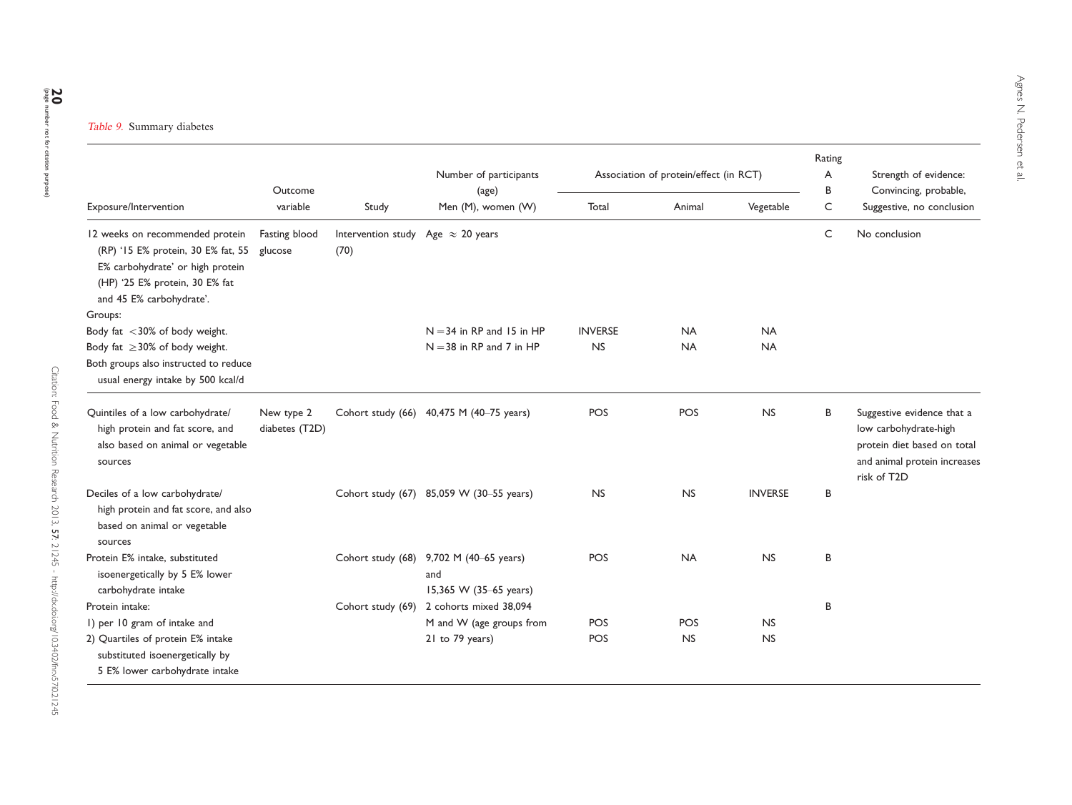### Table 9. Summary diabetes

| Exposure/Intervention                                                                                                                                                   | Outcome<br>variable          | Study                                             | Number of participants<br>(age)<br>Men (M), women (W)                    | Total          | Association of protein/effect (in RCT)<br>Animal | Vegetable      | Rating<br>A<br>В<br>C | Strength of evidence:<br>Convincing, probable,<br>Suggestive, no conclusion                                                       |
|-------------------------------------------------------------------------------------------------------------------------------------------------------------------------|------------------------------|---------------------------------------------------|--------------------------------------------------------------------------|----------------|--------------------------------------------------|----------------|-----------------------|-----------------------------------------------------------------------------------------------------------------------------------|
| 12 weeks on recommended protein<br>(RP) '15 E% protein, 30 E% fat, 55<br>E% carbohydrate' or high protein<br>(HP) '25 E% protein, 30 E% fat<br>and 45 E% carbohydrate'. | Fasting blood<br>glucose     | Intervention study Age $\approx$ 20 years<br>(70) |                                                                          |                |                                                  |                | C                     | No conclusion                                                                                                                     |
| Groups:                                                                                                                                                                 |                              |                                                   |                                                                          |                |                                                  |                |                       |                                                                                                                                   |
| Body fat <30% of body weight.                                                                                                                                           |                              |                                                   | $N = 34$ in RP and 15 in HP                                              | <b>INVERSE</b> | <b>NA</b>                                        | <b>NA</b>      |                       |                                                                                                                                   |
| Body fat $\geq$ 30% of body weight.                                                                                                                                     |                              |                                                   | $N = 38$ in RP and 7 in HP                                               | <b>NS</b>      | <b>NA</b>                                        | <b>NA</b>      |                       |                                                                                                                                   |
| Both groups also instructed to reduce<br>usual energy intake by 500 kcal/d                                                                                              |                              |                                                   |                                                                          |                |                                                  |                |                       |                                                                                                                                   |
| Quintiles of a low carbohydrate/<br>high protein and fat score, and<br>also based on animal or vegetable<br>sources                                                     | New type 2<br>diabetes (T2D) |                                                   | Cohort study (66) 40,475 M (40-75 years)                                 | POS            | POS                                              | <b>NS</b>      | B                     | Suggestive evidence that a<br>low carbohydrate-high<br>protein diet based on total<br>and animal protein increases<br>risk of T2D |
| Deciles of a low carbohydrate/<br>high protein and fat score, and also<br>based on animal or vegetable<br>sources                                                       |                              |                                                   | Cohort study (67) 85,059 W (30-55 years)                                 | <b>NS</b>      | <b>NS</b>                                        | <b>INVERSE</b> | В                     |                                                                                                                                   |
| Protein E% intake, substituted<br>isoenergetically by 5 E% lower<br>carbohydrate intake                                                                                 |                              |                                                   | Cohort study (68) 9,702 M (40-65 years)<br>and<br>15,365 W (35-65 years) | POS            | <b>NA</b>                                        | <b>NS</b>      | B                     |                                                                                                                                   |
| Protein intake:                                                                                                                                                         |                              | Cohort study (69)                                 | 2 cohorts mixed 38,094                                                   |                |                                                  |                | В                     |                                                                                                                                   |
| I) per 10 gram of intake and                                                                                                                                            |                              |                                                   | M and W (age groups from                                                 | POS            | POS                                              | <b>NS</b>      |                       |                                                                                                                                   |
| 2) Quartiles of protein E% intake<br>substituted isoenergetically by<br>5 E% lower carbohydrate intake                                                                  |                              |                                                   | 21 to 79 years)                                                          | POS            | NS                                               | <b>NS</b>      |                       |                                                                                                                                   |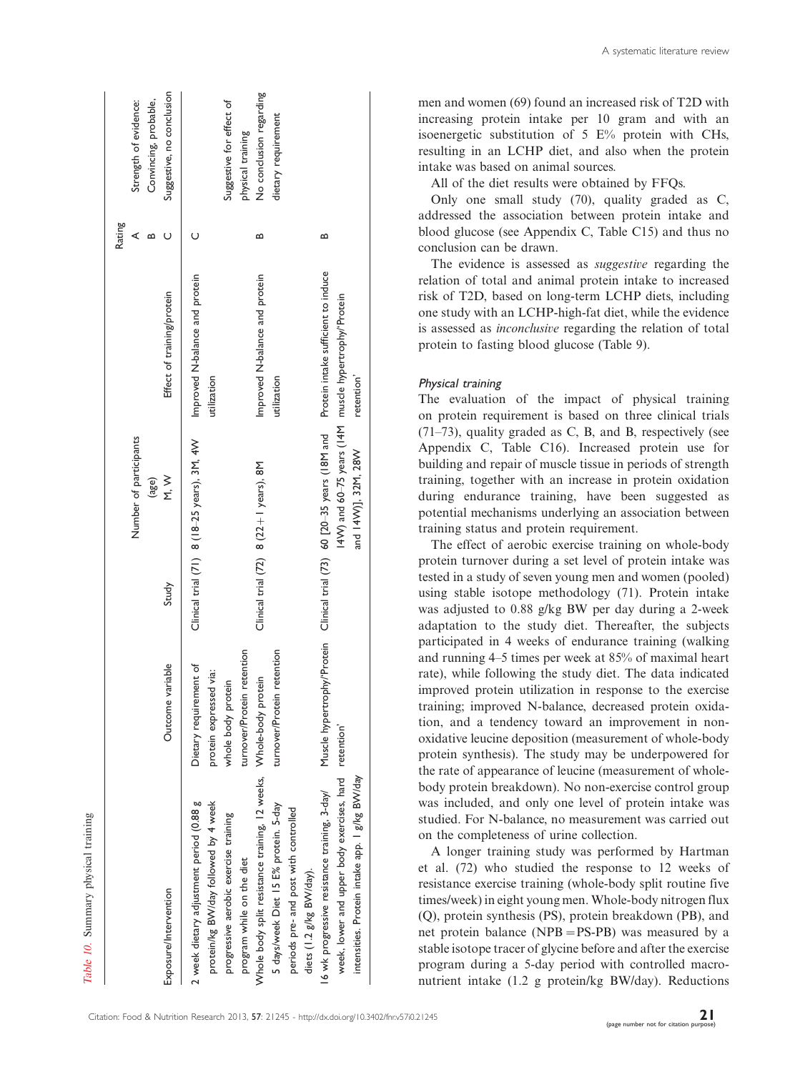|                                                                    |                                                                          |       | Number of participants                      |                                                       | Rating<br>⋖ | Strength of evidence:     |
|--------------------------------------------------------------------|--------------------------------------------------------------------------|-------|---------------------------------------------|-------------------------------------------------------|-------------|---------------------------|
|                                                                    |                                                                          |       | (age)                                       |                                                       |             | Convincing, probable,     |
| Exposure/Intervention                                              | Outcome variable                                                         | Study | M, W                                        | Effect of training/protein                            |             | Suggestive, no conclusion |
| 2 week dietary adjustment period (0.88 g                           | Dietary requirement of                                                   |       | Clinical trial (71) 8 (18-25 years), 3M, 4W | Improved N-balance and protein                        |             |                           |
| protein/kg BW/day followed by 4 week                               | protein expressed via:                                                   |       |                                             | utilization                                           |             |                           |
| progressive aerobic exercise training                              | ain<br>whole body prot                                                   |       |                                             |                                                       |             | Suggestive for effect of  |
| program while on the diet                                          | turnover/Protein retention                                               |       |                                             |                                                       |             | physical training         |
| Whole body split resistance training, 12 weeks, Whole-body protein |                                                                          |       | Clinical trial (72) 8 (22 + 1 years), 8M    | Improved N-balance and protein                        | ≃           | No conclusion regarding   |
| 5 days/week Diet 15 E% protein. 5-day                              | turnover/Protein retention                                               |       |                                             | utilization                                           |             | dietary requirement       |
| periods pre- and post with controlled                              |                                                                          |       |                                             |                                                       |             |                           |
| diets (1.2 g/kg BVV/day).                                          |                                                                          |       |                                             |                                                       |             |                           |
| 16 wk progressive resistance training, 3-day/                      | Muscle hypertrophy/'Protein Clinical trial (73) 60 [20-35 years (18M and |       |                                             | Protein intake sufficient to induce                   | ≃           |                           |
| week, lower and upper body exercises, hard retention'              |                                                                          |       |                                             | 14W) and 60-75 years (14M muscle hypertrophy/'Protein |             |                           |
| intensities. Protein intake app. 1 g/kg BW/day                     |                                                                          |       | and 14W)], 32M, 28W                         | retention'                                            |             |                           |
|                                                                    |                                                                          |       |                                             |                                                       |             |                           |

men and women (69) found an increased risk of T2D with increasing protein intake per 10 gram and with an isoenergetic substitution of 5 E% protein with CHs, resulting in an LCHP diet, and also when the protein intake was based on animal sources.

All of the diet results were obtained by FFQs.

Only one small study (70), quality graded as C, addressed the association between protein intake and blood glucose (see [Appendix C, Table C15\)](http://www.foodandnutritionresearch.net/index.php/fnr/rt/suppFiles/21245/0) and thus no conclusion can be drawn.

The evidence is assessed as *suggestive* regarding the relation of total and animal protein intake to increased risk of T2D, based on long-term LCHP diets, including one study with an LCHP-high-fat diet, while the evidence is assessed as inconclusive regarding the relation of total protein to fasting blood glucose (Table 9).

### Physical training

The evaluation of the impact of physical training on protein requirement is based on three clinical trials (71-73), quality graded as C, B, and B, respectively (see [Appendix C, Table C16\)](http://www.foodandnutritionresearch.net/index.php/fnr/rt/suppFiles/21245/0). Increased protein use for building and repair of muscle tissue in periods of strength training, together with an increase in protein oxidation during endurance training, have been suggested as potential mechanisms underlying an association between training status and protein requirement.

The effect of aerobic exercise training on whole-body protein turnover during a set level of protein intake was tested in a study of seven young men and women (pooled) using stable isotope methodology (71). Protein intake was adjusted to 0.88 g/kg BW per day during a 2-week adaptation to the study diet. Thereafter, the subjects participated in 4 weeks of endurance training (walking and running 4-5 times per week at 85% of maximal heart rate), while following the study diet. The data indicated improved protein utilization in response to the exercise training; improved N-balance, decreased protein oxidation, and a tendency toward an improvement in nonoxidative leucine deposition (measurement of whole-body protein synthesis). The study may be underpowered for the rate of appearance of leucine (measurement of wholebody protein breakdown). No non-exercise control group was included, and only one level of protein intake was studied. For N-balance, no measurement was carried out on the completeness of urine collection.

A longer training study was performed by Hartman et al. (72) who studied the response to 12 weeks of resistance exercise training (whole-body split routine five times/week) in eight young men. Whole-body nitrogen flux (Q), protein synthesis (PS), protein breakdown (PB), and net protein balance (NPB =  $PS-PB$ ) was measured by a stable isotope tracer of glycine before and after the exercise program during a 5-day period with controlled macronutrient intake (1.2 g protein/kg BW/day). Reductions

Table 10 .

Summary physical training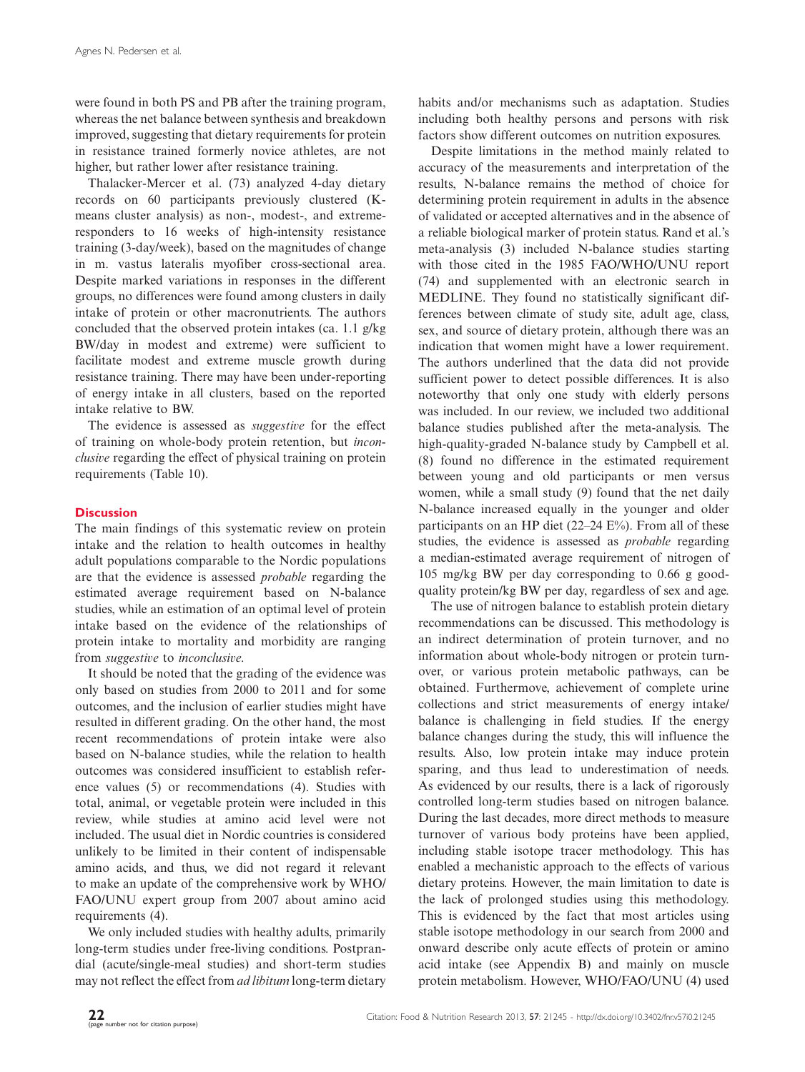were found in both PS and PB after the training program, whereas the net balance between synthesis and breakdown improved, suggesting that dietary requirements for protein in resistance trained formerly novice athletes, are not higher, but rather lower after resistance training.

Thalacker-Mercer et al. (73) analyzed 4-day dietary records on 60 participants previously clustered (Kmeans cluster analysis) as non-, modest-, and extremeresponders to 16 weeks of high-intensity resistance training (3-day/week), based on the magnitudes of change in m. vastus lateralis myofiber cross-sectional area. Despite marked variations in responses in the different groups, no differences were found among clusters in daily intake of protein or other macronutrients. The authors concluded that the observed protein intakes (ca. 1.1 g/kg BW/day in modest and extreme) were sufficient to facilitate modest and extreme muscle growth during resistance training. There may have been under-reporting of energy intake in all clusters, based on the reported intake relative to BW.

The evidence is assessed as *suggestive* for the effect of training on whole-body protein retention, but inconclusive regarding the effect of physical training on protein requirements (Table 10).

# **Discussion**

The main findings of this systematic review on protein intake and the relation to health outcomes in healthy adult populations comparable to the Nordic populations are that the evidence is assessed probable regarding the estimated average requirement based on N-balance studies, while an estimation of an optimal level of protein intake based on the evidence of the relationships of protein intake to mortality and morbidity are ranging from suggestive to inconclusive.

It should be noted that the grading of the evidence was only based on studies from 2000 to 2011 and for some outcomes, and the inclusion of earlier studies might have resulted in different grading. On the other hand, the most recent recommendations of protein intake were also based on N-balance studies, while the relation to health outcomes was considered insufficient to establish reference values (5) or recommendations (4). Studies with total, animal, or vegetable protein were included in this review, while studies at amino acid level were not included. The usual diet in Nordic countries is considered unlikely to be limited in their content of indispensable amino acids, and thus, we did not regard it relevant to make an update of the comprehensive work by WHO/ FAO/UNU expert group from 2007 about amino acid requirements (4).

We only included studies with healthy adults, primarily long-term studies under free-living conditions. Postprandial (acute/single-meal studies) and short-term studies may not reflect the effect from ad libitum long-term dietary

habits and/or mechanisms such as adaptation. Studies including both healthy persons and persons with risk factors show different outcomes on nutrition exposures.

Despite limitations in the method mainly related to accuracy of the measurements and interpretation of the results, N-balance remains the method of choice for determining protein requirement in adults in the absence of validated or accepted alternatives and in the absence of a reliable biological marker of protein status. Rand et al.'s meta-analysis (3) included N-balance studies starting with those cited in the 1985 FAO/WHO/UNU report (74) and supplemented with an electronic search in MEDLINE. They found no statistically significant differences between climate of study site, adult age, class, sex, and source of dietary protein, although there was an indication that women might have a lower requirement. The authors underlined that the data did not provide sufficient power to detect possible differences. It is also noteworthy that only one study with elderly persons was included. In our review, we included two additional balance studies published after the meta-analysis. The high-quality-graded N-balance study by Campbell et al. (8) found no difference in the estimated requirement between young and old participants or men versus women, while a small study (9) found that the net daily N-balance increased equally in the younger and older participants on an HP diet  $(22-24 \text{ E\%})$ . From all of these studies, the evidence is assessed as probable regarding a median-estimated average requirement of nitrogen of 105 mg/kg BW per day corresponding to 0.66 g goodquality protein/kg BW per day, regardless of sex and age.

The use of nitrogen balance to establish protein dietary recommendations can be discussed. This methodology is an indirect determination of protein turnover, and no information about whole-body nitrogen or protein turnover, or various protein metabolic pathways, can be obtained. Furthermove, achievement of complete urine collections and strict measurements of energy intake/ balance is challenging in field studies. If the energy balance changes during the study, this will influence the results. Also, low protein intake may induce protein sparing, and thus lead to underestimation of needs. As evidenced by our results, there is a lack of rigorously controlled long-term studies based on nitrogen balance. During the last decades, more direct methods to measure turnover of various body proteins have been applied, including stable isotope tracer methodology. This has enabled a mechanistic approach to the effects of various dietary proteins. However, the main limitation to date is the lack of prolonged studies using this methodology. This is evidenced by the fact that most articles using stable isotope methodology in our search from 2000 and onward describe only acute effects of protein or amino acid intake (see [Appendix B](http://www.foodandnutritionresearch.net/index.php/fnr/rt/suppFiles/21245/0)) and mainly on muscle protein metabolism. However, WHO/FAO/UNU (4) used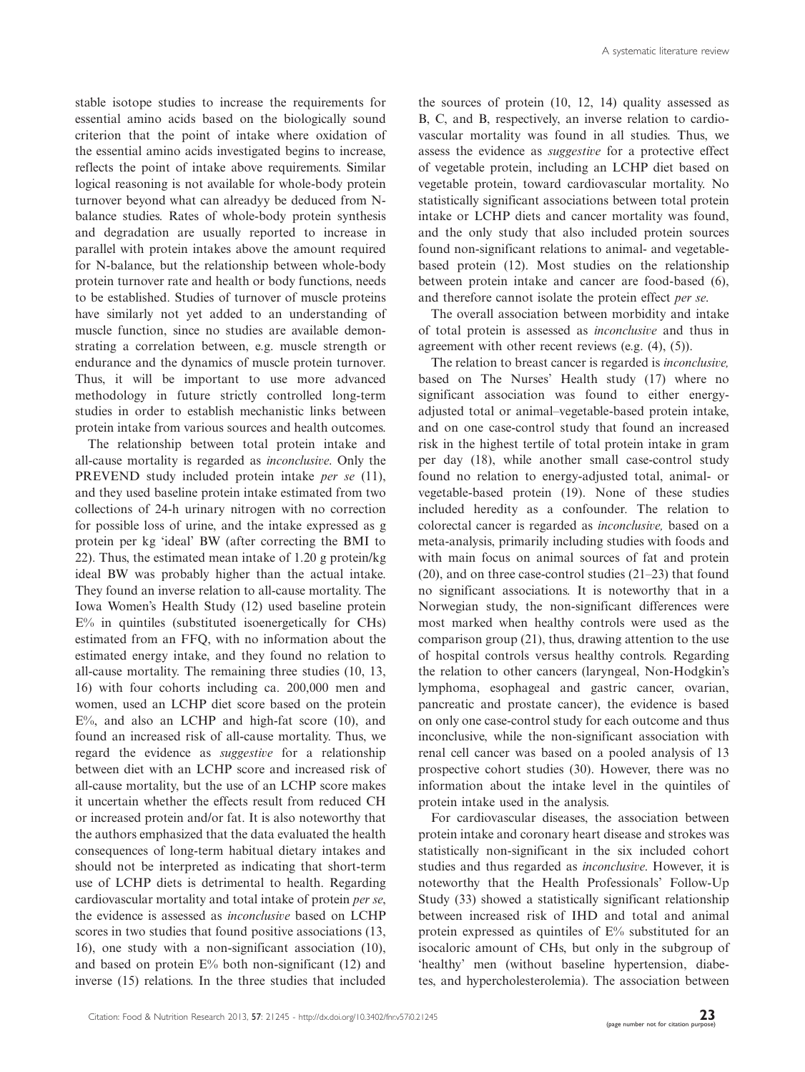stable isotope studies to increase the requirements for essential amino acids based on the biologically sound criterion that the point of intake where oxidation of the essential amino acids investigated begins to increase, reflects the point of intake above requirements. Similar logical reasoning is not available for whole-body protein turnover beyond what can alreadyy be deduced from Nbalance studies. Rates of whole-body protein synthesis and degradation are usually reported to increase in parallel with protein intakes above the amount required for N-balance, but the relationship between whole-body protein turnover rate and health or body functions, needs to be established. Studies of turnover of muscle proteins have similarly not yet added to an understanding of muscle function, since no studies are available demonstrating a correlation between, e.g. muscle strength or endurance and the dynamics of muscle protein turnover. Thus, it will be important to use more advanced methodology in future strictly controlled long-term studies in order to establish mechanistic links between protein intake from various sources and health outcomes.

The relationship between total protein intake and all-cause mortality is regarded as inconclusive. Only the PREVEND study included protein intake per se (11), and they used baseline protein intake estimated from two collections of 24-h urinary nitrogen with no correction for possible loss of urine, and the intake expressed as g protein per kg 'ideal' BW (after correcting the BMI to 22). Thus, the estimated mean intake of 1.20 g protein/kg ideal BW was probably higher than the actual intake. They found an inverse relation to all-cause mortality. The Iowa Women's Health Study (12) used baseline protein E% in quintiles (substituted isoenergetically for CHs) estimated from an FFQ, with no information about the estimated energy intake, and they found no relation to all-cause mortality. The remaining three studies (10, 13, 16) with four cohorts including ca. 200,000 men and women, used an LCHP diet score based on the protein E%, and also an LCHP and high-fat score (10), and found an increased risk of all-cause mortality. Thus, we regard the evidence as suggestive for a relationship between diet with an LCHP score and increased risk of all-cause mortality, but the use of an LCHP score makes it uncertain whether the effects result from reduced CH or increased protein and/or fat. It is also noteworthy that the authors emphasized that the data evaluated the health consequences of long-term habitual dietary intakes and should not be interpreted as indicating that short-term use of LCHP diets is detrimental to health. Regarding cardiovascular mortality and total intake of protein per se, the evidence is assessed as inconclusive based on LCHP scores in two studies that found positive associations (13, 16), one study with a non-significant association (10), and based on protein E% both non-significant (12) and inverse (15) relations. In the three studies that included

the sources of protein (10, 12, 14) quality assessed as B, C, and B, respectively, an inverse relation to cardiovascular mortality was found in all studies. Thus, we assess the evidence as suggestive for a protective effect of vegetable protein, including an LCHP diet based on vegetable protein, toward cardiovascular mortality. No statistically significant associations between total protein intake or LCHP diets and cancer mortality was found, and the only study that also included protein sources found non-significant relations to animal- and vegetablebased protein (12). Most studies on the relationship between protein intake and cancer are food-based (6), and therefore cannot isolate the protein effect per se.

The overall association between morbidity and intake of total protein is assessed as inconclusive and thus in agreement with other recent reviews (e.g. (4), (5)).

The relation to breast cancer is regarded is inconclusive, based on The Nurses' Health study (17) where no significant association was found to either energyadjusted total or animal-vegetable-based protein intake, and on one case-control study that found an increased risk in the highest tertile of total protein intake in gram per day (18), while another small case-control study found no relation to energy-adjusted total, animal- or vegetable-based protein (19). None of these studies included heredity as a confounder. The relation to colorectal cancer is regarded as inconclusive, based on a meta-analysis, primarily including studies with foods and with main focus on animal sources of fat and protein (20), and on three case-control studies (21-23) that found no significant associations. It is noteworthy that in a Norwegian study, the non-significant differences were most marked when healthy controls were used as the comparison group (21), thus, drawing attention to the use of hospital controls versus healthy controls. Regarding the relation to other cancers (laryngeal, Non-Hodgkin's lymphoma, esophageal and gastric cancer, ovarian, pancreatic and prostate cancer), the evidence is based on only one case-control study for each outcome and thus inconclusive, while the non-significant association with renal cell cancer was based on a pooled analysis of 13 prospective cohort studies (30). However, there was no information about the intake level in the quintiles of protein intake used in the analysis.

For cardiovascular diseases, the association between protein intake and coronary heart disease and strokes was statistically non-significant in the six included cohort studies and thus regarded as inconclusive. However, it is noteworthy that the Health Professionals' Follow-Up Study (33) showed a statistically significant relationship between increased risk of IHD and total and animal protein expressed as quintiles of E% substituted for an isocaloric amount of CHs, but only in the subgroup of 'healthy' men (without baseline hypertension, diabetes, and hypercholesterolemia). The association between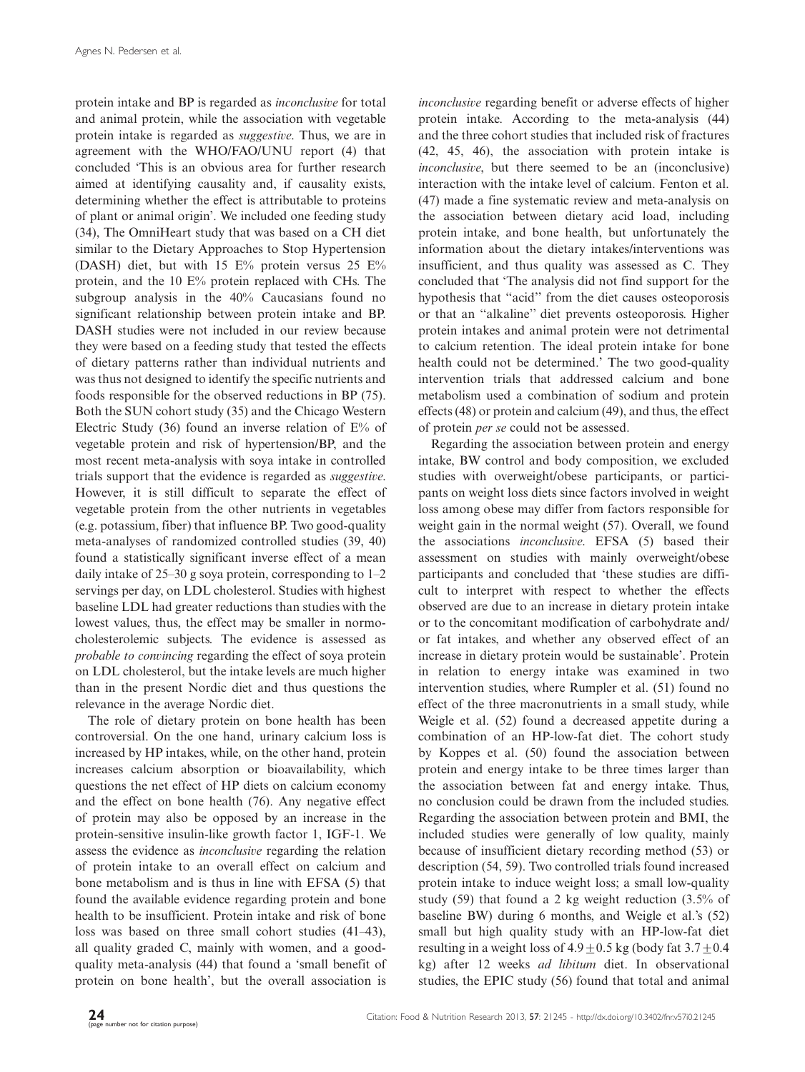protein intake and BP is regarded as inconclusive for total and animal protein, while the association with vegetable protein intake is regarded as suggestive. Thus, we are in agreement with the WHO/FAO/UNU report (4) that concluded 'This is an obvious area for further research aimed at identifying causality and, if causality exists, determining whether the effect is attributable to proteins of plant or animal origin'. We included one feeding study (34), The OmniHeart study that was based on a CH diet similar to the Dietary Approaches to Stop Hypertension (DASH) diet, but with 15 E% protein versus 25 E% protein, and the 10 E% protein replaced with CHs. The subgroup analysis in the 40% Caucasians found no significant relationship between protein intake and BP. DASH studies were not included in our review because they were based on a feeding study that tested the effects of dietary patterns rather than individual nutrients and was thus not designed to identify the specific nutrients and foods responsible for the observed reductions in BP (75). Both the SUN cohort study (35) and the Chicago Western Electric Study (36) found an inverse relation of  $E%$  of vegetable protein and risk of hypertension/BP, and the most recent meta-analysis with soya intake in controlled trials support that the evidence is regarded as suggestive. However, it is still difficult to separate the effect of vegetable protein from the other nutrients in vegetables (e.g. potassium, fiber) that influence BP. Two good-quality meta-analyses of randomized controlled studies (39, 40) found a statistically significant inverse effect of a mean daily intake of 25-30 g soya protein, corresponding to 1-2 servings per day, on LDL cholesterol. Studies with highest baseline LDL had greater reductions than studies with the lowest values, thus, the effect may be smaller in normocholesterolemic subjects. The evidence is assessed as probable to convincing regarding the effect of soya protein on LDL cholesterol, but the intake levels are much higher than in the present Nordic diet and thus questions the relevance in the average Nordic diet.

The role of dietary protein on bone health has been controversial. On the one hand, urinary calcium loss is increased by HP intakes, while, on the other hand, protein increases calcium absorption or bioavailability, which questions the net effect of HP diets on calcium economy and the effect on bone health (76). Any negative effect of protein may also be opposed by an increase in the protein-sensitive insulin-like growth factor 1, IGF-1. We assess the evidence as inconclusive regarding the relation of protein intake to an overall effect on calcium and bone metabolism and is thus in line with EFSA (5) that found the available evidence regarding protein and bone health to be insufficient. Protein intake and risk of bone loss was based on three small cohort studies (41-43), all quality graded C, mainly with women, and a goodquality meta-analysis (44) that found a 'small benefit of protein on bone health', but the overall association is

inconclusive regarding benefit or adverse effects of higher protein intake. According to the meta-analysis (44) and the three cohort studies that included risk of fractures (42, 45, 46), the association with protein intake is inconclusive, but there seemed to be an (inconclusive) interaction with the intake level of calcium. Fenton et al. (47) made a fine systematic review and meta-analysis on the association between dietary acid load, including protein intake, and bone health, but unfortunately the information about the dietary intakes/interventions was insufficient, and thus quality was assessed as C. They concluded that 'The analysis did not find support for the hypothesis that ''acid'' from the diet causes osteoporosis or that an ''alkaline'' diet prevents osteoporosis. Higher protein intakes and animal protein were not detrimental to calcium retention. The ideal protein intake for bone health could not be determined.' The two good-quality intervention trials that addressed calcium and bone metabolism used a combination of sodium and protein effects (48) or protein and calcium (49), and thus, the effect of protein per se could not be assessed.

Regarding the association between protein and energy intake, BW control and body composition, we excluded studies with overweight/obese participants, or participants on weight loss diets since factors involved in weight loss among obese may differ from factors responsible for weight gain in the normal weight (57). Overall, we found the associations inconclusive. EFSA (5) based their assessment on studies with mainly overweight/obese participants and concluded that 'these studies are difficult to interpret with respect to whether the effects observed are due to an increase in dietary protein intake or to the concomitant modification of carbohydrate and/ or fat intakes, and whether any observed effect of an increase in dietary protein would be sustainable'. Protein in relation to energy intake was examined in two intervention studies, where Rumpler et al. (51) found no effect of the three macronutrients in a small study, while Weigle et al. (52) found a decreased appetite during a combination of an HP-low-fat diet. The cohort study by Koppes et al. (50) found the association between protein and energy intake to be three times larger than the association between fat and energy intake. Thus, no conclusion could be drawn from the included studies. Regarding the association between protein and BMI, the included studies were generally of low quality, mainly because of insufficient dietary recording method (53) or description (54, 59). Two controlled trials found increased protein intake to induce weight loss; a small low-quality study (59) that found a 2 kg weight reduction (3.5% of baseline BW) during 6 months, and Weigle et al.'s (52) small but high quality study with an HP-low-fat diet resulting in a weight loss of  $4.9 \pm 0.5$  kg (body fat  $3.7 \pm 0.4$ ) kg) after 12 weeks ad libitum diet. In observational studies, the EPIC study (56) found that total and animal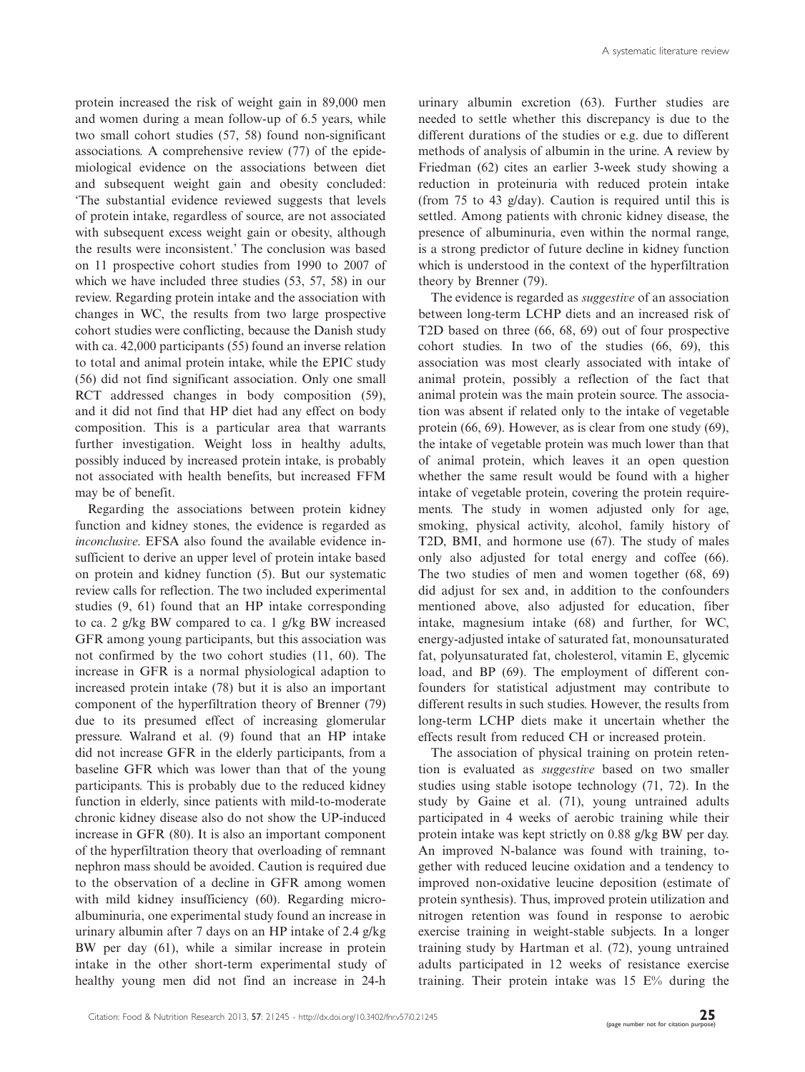protein increased the risk of weight gain in 89,000 men and women during a mean follow-up of 6.5 years, while two small cohort studies (57, 58) found non-significant associations. A comprehensive review (77) of the epidemiological evidence on the associations between diet and subsequent weight gain and obesity concluded: 'The substantial evidence reviewed suggests that levels of protein intake, regardless of source, are not associated with subsequent excess weight gain or obesity, although the results were inconsistent.' The conclusion was based on 11 prospective cohort studies from 1990 to 2007 of which we have included three studies (53, 57, 58) in our review. Regarding protein intake and the association with changes in WC, the results from two large prospective cohort studies were conflicting, because the Danish study with ca. 42,000 participants (55) found an inverse relation to total and animal protein intake, while the EPIC study (56) did not find significant association. Only one small RCT addressed changes in body composition (59), and it did not find that HP diet had any effect on body composition. This is a particular area that warrants further investigation. Weight loss in healthy adults, possibly induced by increased protein intake, is probably not associated with health benefits, but increased FFM may be of benefit.

Regarding the associations between protein kidney function and kidney stones, the evidence is regarded as inconclusive. EFSA also found the available evidence insufficient to derive an upper level of protein intake based on protein and kidney function (5). But our systematic review calls for reflection. The two included experimental studies (9, 61) found that an HP intake corresponding to ca. 2 g/kg BW compared to ca. 1 g/kg BW increased GFR among young participants, but this association was not confirmed by the two cohort studies (11, 60). The increase in GFR is a normal physiological adaption to increased protein intake (78) but it is also an important component of the hyperfiltration theory of Brenner (79) due to its presumed effect of increasing glomerular pressure. Walrand et al. (9) found that an HP intake did not increase GFR in the elderly participants, from a baseline GFR which was lower than that of the young participants. This is probably due to the reduced kidney function in elderly, since patients with mild-to-moderate chronic kidney disease also do not show the UP-induced increase in GFR (80). It is also an important component of the hyperfiltration theory that overloading of remnant nephron mass should be avoided. Caution is required due to the observation of a decline in GFR among women with mild kidney insufficiency (60). Regarding microalbuminuria, one experimental study found an increase in urinary albumin after 7 days on an HP intake of 2.4 g/kg BW per day (61), while a similar increase in protein intake in the other short-term experimental study of healthy young men did not find an increase in 24-h

urinary albumin excretion (63). Further studies are needed to settle whether this discrepancy is due to the different durations of the studies or e.g. due to different methods of analysis of albumin in the urine. A review by Friedman (62) cites an earlier 3-week study showing a reduction in proteinuria with reduced protein intake (from 75 to 43 g/day). Caution is required until this is settled. Among patients with chronic kidney disease, the presence of albuminuria, even within the normal range, is a strong predictor of future decline in kidney function which is understood in the context of the hyperfiltration theory by Brenner (79).

The evidence is regarded as *suggestive* of an association between long-term LCHP diets and an increased risk of T2D based on three (66, 68, 69) out of four prospective cohort studies. In two of the studies (66, 69), this association was most clearly associated with intake of animal protein, possibly a reflection of the fact that animal protein was the main protein source. The association was absent if related only to the intake of vegetable protein (66, 69). However, as is clear from one study (69), the intake of vegetable protein was much lower than that of animal protein, which leaves it an open question whether the same result would be found with a higher intake of vegetable protein, covering the protein requirements. The study in women adjusted only for age, smoking, physical activity, alcohol, family history of T2D, BMI, and hormone use (67). The study of males only also adjusted for total energy and coffee (66). The two studies of men and women together (68, 69) did adjust for sex and, in addition to the confounders mentioned above, also adjusted for education, fiber intake, magnesium intake (68) and further, for WC, energy-adjusted intake of saturated fat, monounsaturated fat, polyunsaturated fat, cholesterol, vitamin E, glycemic load, and BP (69). The employment of different confounders for statistical adjustment may contribute to different results in such studies. However, the results from long-term LCHP diets make it uncertain whether the effects result from reduced CH or increased protein.

The association of physical training on protein retention is evaluated as suggestive based on two smaller studies using stable isotope technology (71, 72). In the study by Gaine et al. (71), young untrained adults participated in 4 weeks of aerobic training while their protein intake was kept strictly on 0.88 g/kg BW per day. An improved N-balance was found with training, together with reduced leucine oxidation and a tendency to improved non-oxidative leucine deposition (estimate of protein synthesis). Thus, improved protein utilization and nitrogen retention was found in response to aerobic exercise training in weight-stable subjects. In a longer training study by Hartman et al. (72), young untrained adults participated in 12 weeks of resistance exercise training. Their protein intake was 15 E% during the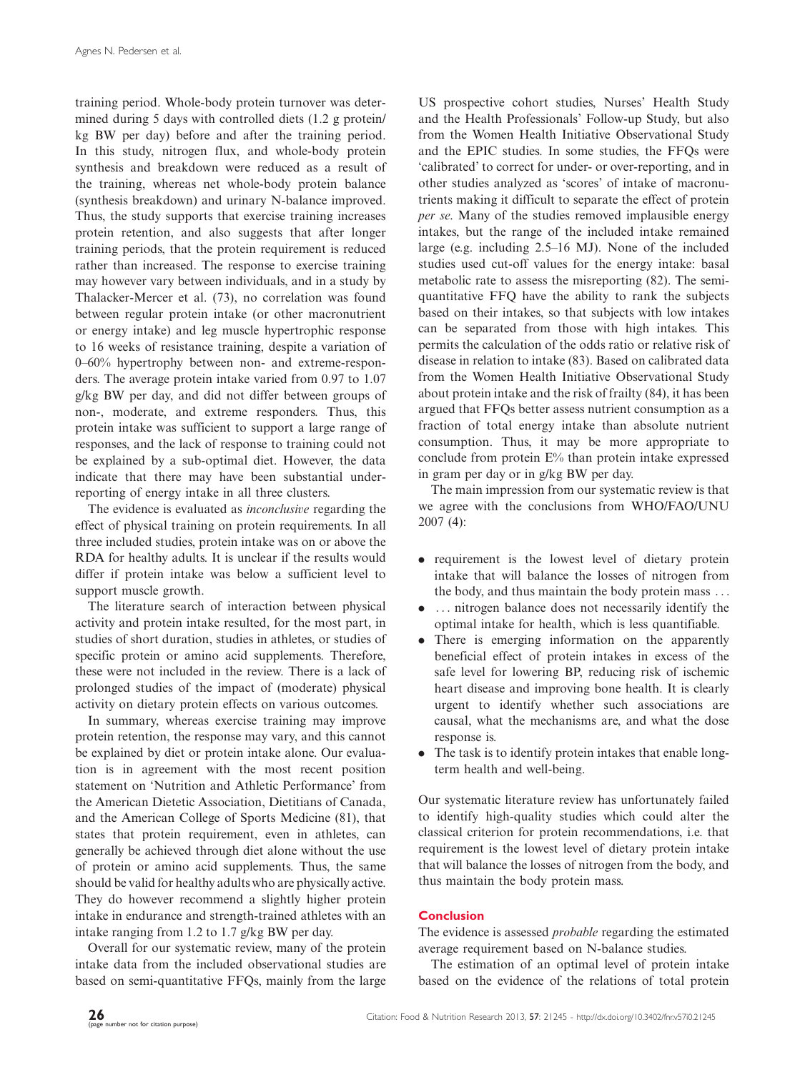training period. Whole-body protein turnover was determined during 5 days with controlled diets (1.2 g protein/ kg BW per day) before and after the training period. In this study, nitrogen flux, and whole-body protein synthesis and breakdown were reduced as a result of the training, whereas net whole-body protein balance (synthesis breakdown) and urinary N-balance improved. Thus, the study supports that exercise training increases protein retention, and also suggests that after longer training periods, that the protein requirement is reduced rather than increased. The response to exercise training may however vary between individuals, and in a study by Thalacker-Mercer et al. (73), no correlation was found between regular protein intake (or other macronutrient or energy intake) and leg muscle hypertrophic response to 16 weeks of resistance training, despite a variation of 0-60% hypertrophy between non- and extreme-responders. The average protein intake varied from 0.97 to 1.07 g/kg BW per day, and did not differ between groups of non-, moderate, and extreme responders. Thus, this protein intake was sufficient to support a large range of responses, and the lack of response to training could not be explained by a sub-optimal diet. However, the data indicate that there may have been substantial underreporting of energy intake in all three clusters.

The evidence is evaluated as *inconclusive* regarding the effect of physical training on protein requirements. In all three included studies, protein intake was on or above the RDA for healthy adults. It is unclear if the results would differ if protein intake was below a sufficient level to support muscle growth.

The literature search of interaction between physical activity and protein intake resulted, for the most part, in studies of short duration, studies in athletes, or studies of specific protein or amino acid supplements. Therefore, these were not included in the review. There is a lack of prolonged studies of the impact of (moderate) physical activity on dietary protein effects on various outcomes.

In summary, whereas exercise training may improve protein retention, the response may vary, and this cannot be explained by diet or protein intake alone. Our evaluation is in agreement with the most recent position statement on 'Nutrition and Athletic Performance' from the American Dietetic Association, Dietitians of Canada, and the American College of Sports Medicine (81), that states that protein requirement, even in athletes, can generally be achieved through diet alone without the use of protein or amino acid supplements. Thus, the same should be valid for healthy adults who are physically active. They do however recommend a slightly higher protein intake in endurance and strength-trained athletes with an intake ranging from 1.2 to 1.7 g/kg BW per day.

Overall for our systematic review, many of the protein intake data from the included observational studies are based on semi-quantitative FFQs, mainly from the large

US prospective cohort studies, Nurses' Health Study and the Health Professionals' Follow-up Study, but also from the Women Health Initiative Observational Study and the EPIC studies. In some studies, the FFQs were 'calibrated' to correct for under- or over-reporting, and in other studies analyzed as 'scores' of intake of macronutrients making it difficult to separate the effect of protein per se. Many of the studies removed implausible energy intakes, but the range of the included intake remained large (e.g. including 2.5-16 MJ). None of the included studies used cut-off values for the energy intake: basal metabolic rate to assess the misreporting (82). The semiquantitative FFQ have the ability to rank the subjects based on their intakes, so that subjects with low intakes can be separated from those with high intakes. This permits the calculation of the odds ratio or relative risk of disease in relation to intake (83). Based on calibrated data from the Women Health Initiative Observational Study about protein intake and the risk of frailty (84), it has been argued that FFQs better assess nutrient consumption as a fraction of total energy intake than absolute nutrient consumption. Thus, it may be more appropriate to conclude from protein E% than protein intake expressed in gram per day or in g/kg BW per day.

The main impression from our systematic review is that we agree with the conclusions from WHO/FAO/UNU 2007 (4):

- requirement is the lowest level of dietary protein intake that will balance the losses of nitrogen from the body, and thus maintain the body protein mass ...
- . ... nitrogen balance does not necessarily identify the optimal intake for health, which is less quantifiable.
- There is emerging information on the apparently beneficial effect of protein intakes in excess of the safe level for lowering BP, reducing risk of ischemic heart disease and improving bone health. It is clearly urgent to identify whether such associations are causal, what the mechanisms are, and what the dose response is.
- . The task is to identify protein intakes that enable longterm health and well-being.

Our systematic literature review has unfortunately failed to identify high-quality studies which could alter the classical criterion for protein recommendations, i.e. that requirement is the lowest level of dietary protein intake that will balance the losses of nitrogen from the body, and thus maintain the body protein mass.

### Conclusion

The evidence is assessed *probable* regarding the estimated average requirement based on N-balance studies.

The estimation of an optimal level of protein intake based on the evidence of the relations of total protein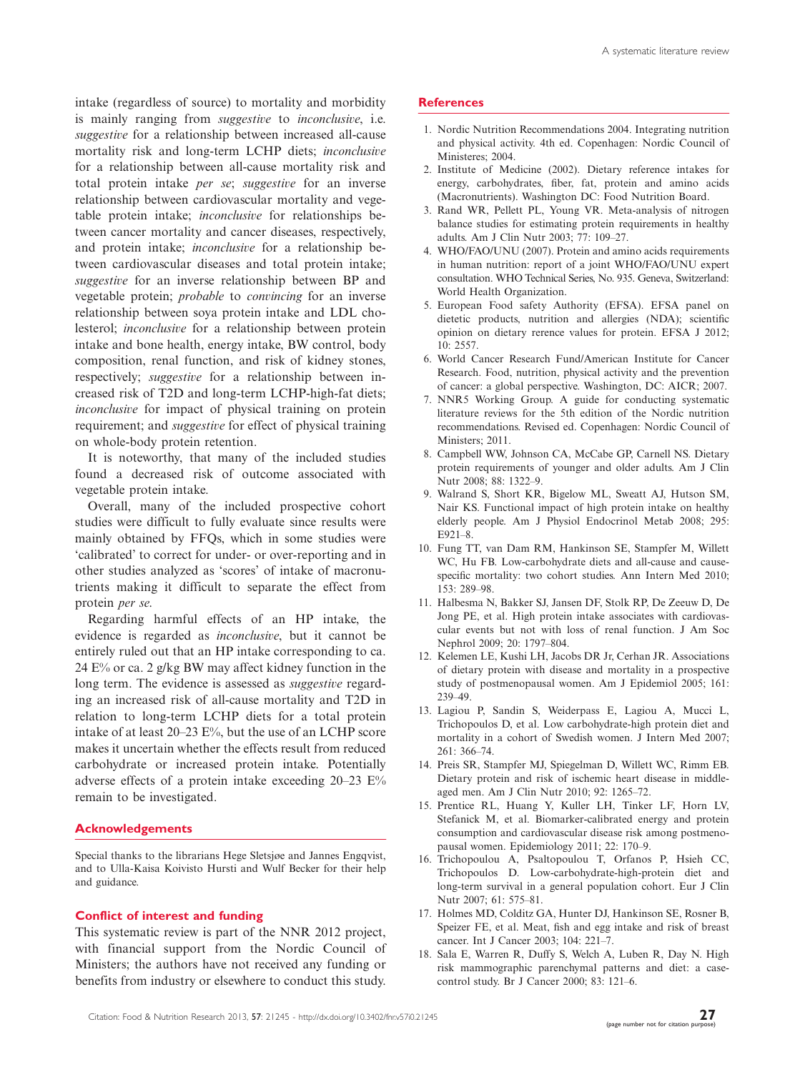intake (regardless of source) to mortality and morbidity is mainly ranging from suggestive to inconclusive, i.e. suggestive for a relationship between increased all-cause mortality risk and long-term LCHP diets; inconclusive for a relationship between all-cause mortality risk and total protein intake per se; suggestive for an inverse relationship between cardiovascular mortality and vegetable protein intake; inconclusive for relationships between cancer mortality and cancer diseases, respectively, and protein intake; inconclusive for a relationship between cardiovascular diseases and total protein intake; suggestive for an inverse relationship between BP and vegetable protein; probable to convincing for an inverse relationship between soya protein intake and LDL cholesterol; inconclusive for a relationship between protein intake and bone health, energy intake, BW control, body composition, renal function, and risk of kidney stones, respectively; suggestive for a relationship between increased risk of T2D and long-term LCHP-high-fat diets; inconclusive for impact of physical training on protein requirement; and suggestive for effect of physical training on whole-body protein retention.

It is noteworthy, that many of the included studies found a decreased risk of outcome associated with vegetable protein intake.

Overall, many of the included prospective cohort studies were difficult to fully evaluate since results were mainly obtained by FFQs, which in some studies were 'calibrated' to correct for under- or over-reporting and in other studies analyzed as 'scores' of intake of macronutrients making it difficult to separate the effect from protein per se.

Regarding harmful effects of an HP intake, the evidence is regarded as inconclusive, but it cannot be entirely ruled out that an HP intake corresponding to ca. 24 E% or ca. 2 g/kg BW may affect kidney function in the long term. The evidence is assessed as *suggestive* regarding an increased risk of all-cause mortality and T2D in relation to long-term LCHP diets for a total protein intake of at least 20-23 E%, but the use of an LCHP score makes it uncertain whether the effects result from reduced carbohydrate or increased protein intake. Potentially adverse effects of a protein intake exceeding 20–23 E% remain to be investigated.

### Acknowledgements

Special thanks to the librarians Hege Sletsjøe and Jannes Engqvist, and to Ulla-Kaisa Koivisto Hursti and Wulf Becker for their help and guidance.

### Conflict of interest and funding

This systematic review is part of the NNR 2012 project, with financial support from the Nordic Council of Ministers; the authors have not received any funding or benefits from industry or elsewhere to conduct this study.

### **References**

- 1. Nordic Nutrition Recommendations 2004. Integrating nutrition and physical activity. 4th ed. Copenhagen: Nordic Council of Ministeres; 2004.
- 2. Institute of Medicine (2002). Dietary reference intakes for energy, carbohydrates, fiber, fat, protein and amino acids (Macronutrients). Washington DC: Food Nutrition Board.
- 3. Rand WR, Pellett PL, Young VR. Meta-analysis of nitrogen balance studies for estimating protein requirements in healthy adults. Am J Clin Nutr 2003; 77: 109-27.
- 4. WHO/FAO/UNU (2007). Protein and amino acids requirements in human nutrition: report of a joint WHO/FAO/UNU expert consultation. WHO Technical Series, No. 935. Geneva, Switzerland: World Health Organization.
- 5. European Food safety Authority (EFSA). EFSA panel on dietetic products, nutrition and allergies (NDA); scientific opinion on dietary rerence values for protein. EFSA J 2012; 10: 2557.
- 6. World Cancer Research Fund/American Institute for Cancer Research. Food, nutrition, physical activity and the prevention of cancer: a global perspective. Washington, DC: AICR; 2007.
- 7. NNR5 Working Group. A guide for conducting systematic literature reviews for the 5th edition of the Nordic nutrition recommendations. Revised ed. Copenhagen: Nordic Council of Ministers; 2011.
- 8. Campbell WW, Johnson CA, McCabe GP, Carnell NS. Dietary protein requirements of younger and older adults. Am J Clin Nutr 2008; 88: 1322-9.
- 9. Walrand S, Short KR, Bigelow ML, Sweatt AJ, Hutson SM, Nair KS. Functional impact of high protein intake on healthy elderly people. Am J Physiol Endocrinol Metab 2008; 295: E921-8.
- 10. Fung TT, van Dam RM, Hankinson SE, Stampfer M, Willett WC, Hu FB. Low-carbohydrate diets and all-cause and causespecific mortality: two cohort studies. Ann Intern Med 2010; 153: 289-98.
- 11. Halbesma N, Bakker SJ, Jansen DF, Stolk RP, De Zeeuw D, De Jong PE, et al. High protein intake associates with cardiovascular events but not with loss of renal function. J Am Soc Nephrol 2009; 20: 1797-804.
- 12. Kelemen LE, Kushi LH, Jacobs DR Jr, Cerhan JR. Associations of dietary protein with disease and mortality in a prospective study of postmenopausal women. Am J Epidemiol 2005; 161: 239-49.
- 13. Lagiou P, Sandin S, Weiderpass E, Lagiou A, Mucci L, Trichopoulos D, et al. Low carbohydrate-high protein diet and mortality in a cohort of Swedish women. J Intern Med 2007; 261: 366-74.
- 14. Preis SR, Stampfer MJ, Spiegelman D, Willett WC, Rimm EB. Dietary protein and risk of ischemic heart disease in middleaged men. Am J Clin Nutr 2010; 92: 1265-72.
- 15. Prentice RL, Huang Y, Kuller LH, Tinker LF, Horn LV, Stefanick M, et al. Biomarker-calibrated energy and protein consumption and cardiovascular disease risk among postmenopausal women. Epidemiology 2011; 22: 170-9.
- 16. Trichopoulou A, Psaltopoulou T, Orfanos P, Hsieh CC, Trichopoulos D. Low-carbohydrate-high-protein diet and long-term survival in a general population cohort. Eur J Clin Nutr 2007; 61: 575-81.
- 17. Holmes MD, Colditz GA, Hunter DJ, Hankinson SE, Rosner B, Speizer FE, et al. Meat, fish and egg intake and risk of breast cancer. Int J Cancer 2003; 104: 221-7.
- 18. Sala E, Warren R, Duffy S, Welch A, Luben R, Day N. High risk mammographic parenchymal patterns and diet: a casecontrol study. Br J Cancer 2000; 83: 121-6.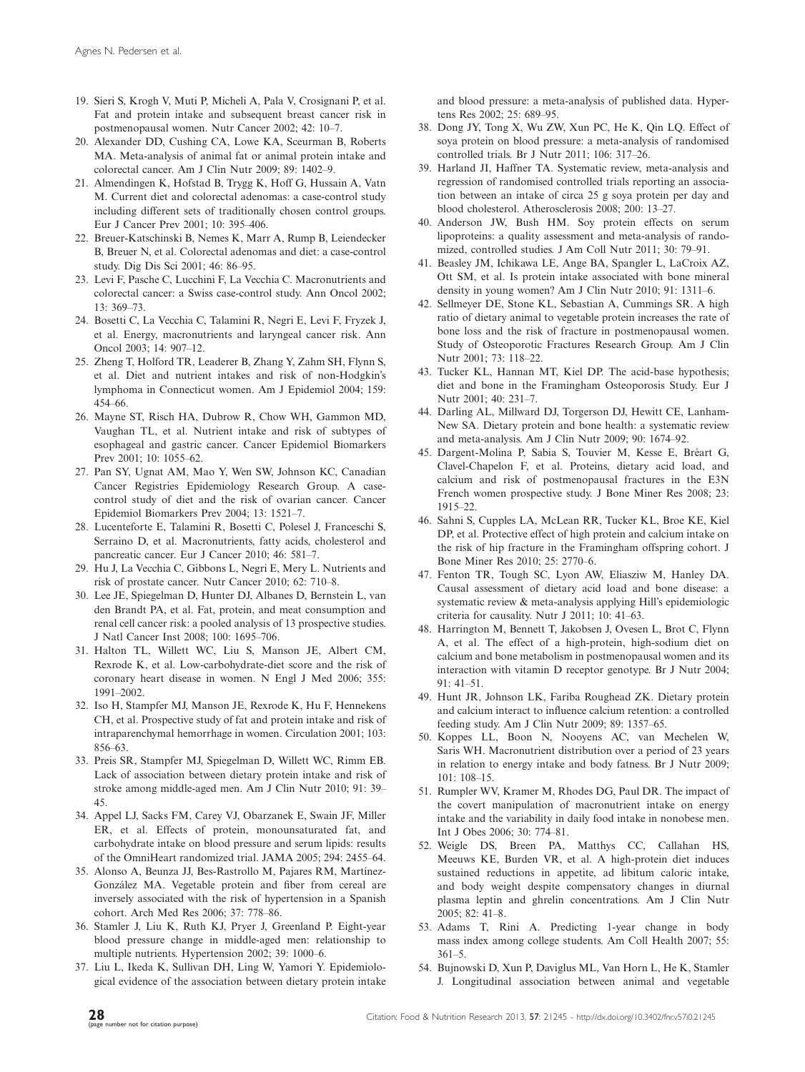- 19. Sieri S, Krogh V, Muti P, Micheli A, Pala V, Crosignani P, et al. Fat and protein intake and subsequent breast cancer risk in postmenopausal women. Nutr Cancer 2002; 42: 10-7.
- 20. Alexander DD, Cushing CA, Lowe KA, Sceurman B, Roberts MA. Meta-analysis of animal fat or animal protein intake and colorectal cancer. Am J Clin Nutr 2009; 89: 1402-9.
- 21. Almendingen K, Hofstad B, Trygg K, Hoff G, Hussain A, Vatn M. Current diet and colorectal adenomas: a case-control study including different sets of traditionally chosen control groups. Eur J Cancer Prev 2001; 10: 395-406.
- 22. Breuer-Katschinski B, Nemes K, Marr A, Rump B, Leiendecker B, Breuer N, et al. Colorectal adenomas and diet: a case-control study. Dig Dis Sci 2001; 46: 86-95.
- 23. Levi F, Pasche C, Lucchini F, La Vecchia C. Macronutrients and colorectal cancer: a Swiss case-control study. Ann Oncol 2002; 13: 369-73.
- 24. Bosetti C, La Vecchia C, Talamini R, Negri E, Levi F, Fryzek J, et al. Energy, macronutrients and laryngeal cancer risk. Ann Oncol 2003; 14: 907-12.
- 25. Zheng T, Holford TR, Leaderer B, Zhang Y, Zahm SH, Flynn S, et al. Diet and nutrient intakes and risk of non-Hodgkin's lymphoma in Connecticut women. Am J Epidemiol 2004; 159: 454-66.
- 26. Mayne ST, Risch HA, Dubrow R, Chow WH, Gammon MD, Vaughan TL, et al. Nutrient intake and risk of subtypes of esophageal and gastric cancer. Cancer Epidemiol Biomarkers Prev 2001; 10: 1055-62.
- 27. Pan SY, Ugnat AM, Mao Y, Wen SW, Johnson KC, Canadian Cancer Registries Epidemiology Research Group. A casecontrol study of diet and the risk of ovarian cancer. Cancer Epidemiol Biomarkers Prev 2004; 13: 1521-7.
- 28. Lucenteforte E, Talamini R, Bosetti C, Polesel J, Franceschi S, Serraino D, et al. Macronutrients, fatty acids, cholesterol and pancreatic cancer. Eur J Cancer 2010; 46: 581-7.
- 29. Hu J, La Vecchia C, Gibbons L, Negri E, Mery L. Nutrients and risk of prostate cancer. Nutr Cancer 2010; 62: 710-8.
- 30. Lee JE, Spiegelman D, Hunter DJ, Albanes D, Bernstein L, van den Brandt PA, et al. Fat, protein, and meat consumption and renal cell cancer risk: a pooled analysis of 13 prospective studies. J Natl Cancer Inst 2008; 100: 1695-706.
- 31. Halton TL, Willett WC, Liu S, Manson JE, Albert CM, Rexrode K, et al. Low-carbohydrate-diet score and the risk of coronary heart disease in women. N Engl J Med 2006; 355: 1991-2002.
- 32. Iso H, Stampfer MJ, Manson JE, Rexrode K, Hu F, Hennekens CH, et al. Prospective study of fat and protein intake and risk of intraparenchymal hemorrhage in women. Circulation 2001; 103: 856-63.
- 33. Preis SR, Stampfer MJ, Spiegelman D, Willett WC, Rimm EB. Lack of association between dietary protein intake and risk of stroke among middle-aged men. Am J Clin Nutr 2010; 91: 39- 45.
- 34. Appel LJ, Sacks FM, Carey VJ, Obarzanek E, Swain JF, Miller ER, et al. Effects of protein, monounsaturated fat, and carbohydrate intake on blood pressure and serum lipids: results of the OmniHeart randomized trial. JAMA 2005; 294: 2455-64.
- 35. Alonso A, Beunza JJ, Bes-Rastrollo M, Pajares RM, Martínez-González MA. Vegetable protein and fiber from cereal are inversely associated with the risk of hypertension in a Spanish cohort. Arch Med Res 2006; 37: 778-86.
- 36. Stamler J, Liu K, Ruth KJ, Pryer J, Greenland P. Eight-year blood pressure change in middle-aged men: relationship to multiple nutrients. Hypertension 2002; 39: 1000-6.
- 37. Liu L, Ikeda K, Sullivan DH, Ling W, Yamori Y. Epidemiological evidence of the association between dietary protein intake

and blood pressure: a meta-analysis of published data. Hypertens Res 2002; 25: 689-95.

- 38. Dong JY, Tong X, Wu ZW, Xun PC, He K, Qin LQ. Effect of soya protein on blood pressure: a meta-analysis of randomised controlled trials. Br J Nutr 2011; 106: 317-26.
- 39. Harland JI, Haffner TA. Systematic review, meta-analysis and regression of randomised controlled trials reporting an association between an intake of circa 25 g soya protein per day and blood cholesterol. Atherosclerosis 2008; 200: 13-27.
- 40. Anderson JW, Bush HM. Soy protein effects on serum lipoproteins: a quality assessment and meta-analysis of randomized, controlled studies. J Am Coll Nutr 2011; 30: 79-91.
- 41. Beasley JM, Ichikawa LE, Ange BA, Spangler L, LaCroix AZ, Ott SM, et al. Is protein intake associated with bone mineral density in young women? Am J Clin Nutr 2010; 91: 1311-6.
- 42. Sellmeyer DE, Stone KL, Sebastian A, Cummings SR. A high ratio of dietary animal to vegetable protein increases the rate of bone loss and the risk of fracture in postmenopausal women. Study of Osteoporotic Fractures Research Group. Am J Clin Nutr 2001; 73: 118-22.
- 43. Tucker KL, Hannan MT, Kiel DP. The acid-base hypothesis; diet and bone in the Framingham Osteoporosis Study. Eur J Nutr 2001; 40: 231-7.
- 44. Darling AL, Millward DJ, Torgerson DJ, Hewitt CE, Lanham-New SA. Dietary protein and bone health: a systematic review and meta-analysis. Am J Clin Nutr 2009; 90: 1674-92.
- 45. Dargent-Molina P, Sabia S, Touvier M, Kesse E, Bréart G, Clavel-Chapelon F, et al. Proteins, dietary acid load, and calcium and risk of postmenopausal fractures in the E3N French women prospective study. J Bone Miner Res 2008; 23: 1915-22.
- 46. Sahni S, Cupples LA, McLean RR, Tucker KL, Broe KE, Kiel DP, et al. Protective effect of high protein and calcium intake on the risk of hip fracture in the Framingham offspring cohort. J Bone Miner Res 2010; 25: 2770-6.
- 47. Fenton TR, Tough SC, Lyon AW, Eliasziw M, Hanley DA. Causal assessment of dietary acid load and bone disease: a systematic review & meta-analysis applying Hill's epidemiologic criteria for causality. Nutr J 2011; 10: 41-63.
- 48. Harrington M, Bennett T, Jakobsen J, Ovesen L, Brot C, Flynn A, et al. The effect of a high-protein, high-sodium diet on calcium and bone metabolism in postmenopausal women and its interaction with vitamin D receptor genotype. Br J Nutr 2004; 91: 41-51.
- 49. Hunt JR, Johnson LK, Fariba Roughead ZK. Dietary protein and calcium interact to influence calcium retention: a controlled feeding study. Am J Clin Nutr 2009; 89: 1357-65.
- 50. Koppes LL, Boon N, Nooyens AC, van Mechelen W, Saris WH. Macronutrient distribution over a period of 23 years in relation to energy intake and body fatness. Br J Nutr 2009; 101: 108-15.
- 51. Rumpler WV, Kramer M, Rhodes DG, Paul DR. The impact of the covert manipulation of macronutrient intake on energy intake and the variability in daily food intake in nonobese men. Int J Obes 2006; 30: 774-81.
- 52. Weigle DS, Breen PA, Matthys CC, Callahan HS, Meeuws KE, Burden VR, et al. A high-protein diet induces sustained reductions in appetite, ad libitum caloric intake, and body weight despite compensatory changes in diurnal plasma leptin and ghrelin concentrations. Am J Clin Nutr 2005; 82: 41-8.
- 53. Adams T, Rini A. Predicting 1-year change in body mass index among college students. Am Coll Health 2007; 55: 361-5.
- 54. Bujnowski D, Xun P, Daviglus ML, Van Horn L, He K, Stamler J. Longitudinal association between animal and vegetable